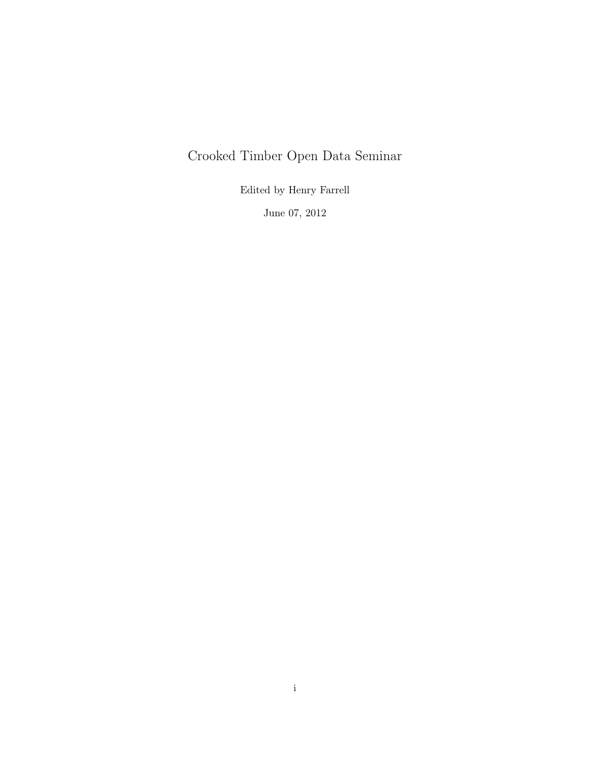### <span id="page-0-0"></span>Crooked Timber Open Data Seminar

Edited by Henry Farrell

June 07, 2012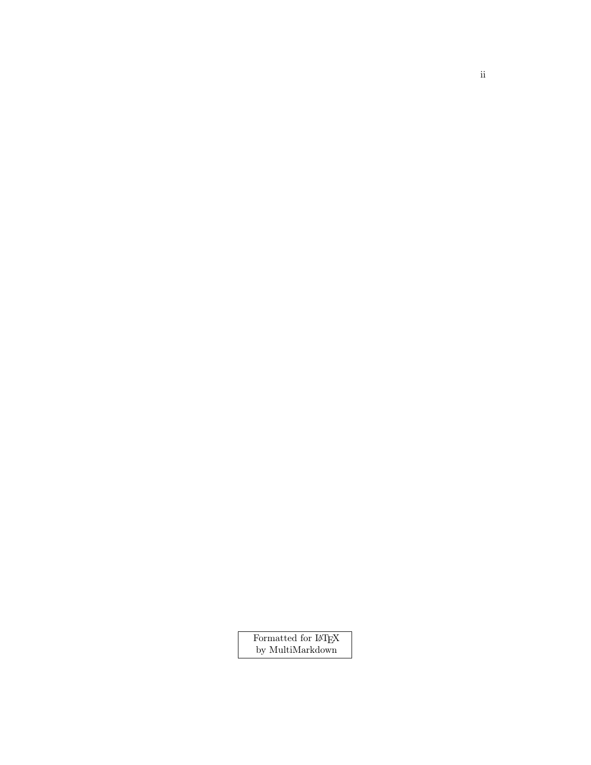Formatted for LAT<sub>E</sub>X by MultiMarkdown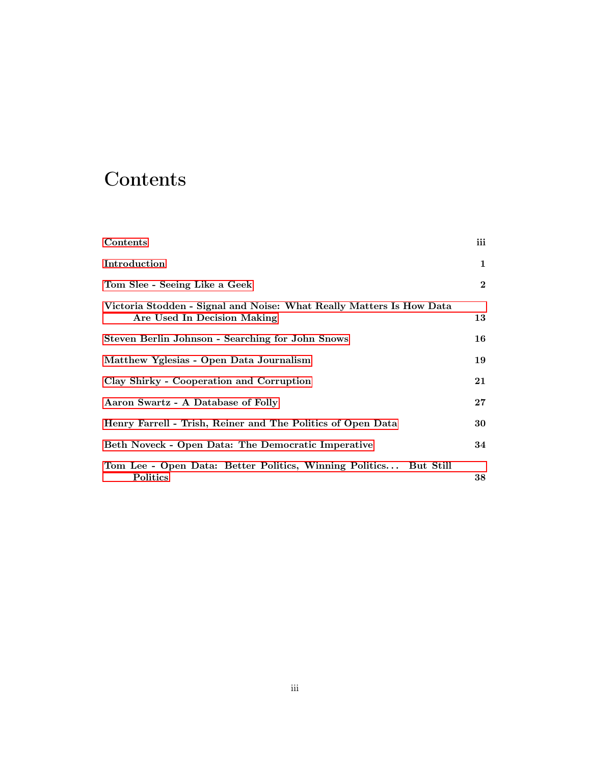### **Contents**

<span id="page-2-0"></span>

| Contents                                                                                            | iii         |
|-----------------------------------------------------------------------------------------------------|-------------|
| Introduction                                                                                        | $\mathbf 1$ |
| Tom Slee - Seeing Like a Geek                                                                       | $\bf{2}$    |
| Victoria Stodden - Signal and Noise: What Really Matters Is How Data<br>Are Used In Decision Making | 13          |
| Steven Berlin Johnson - Searching for John Snows                                                    | 16          |
| Matthew Yglesias - Open Data Journalism                                                             | 19          |
| Clay Shirky - Cooperation and Corruption                                                            | 21          |
| Aaron Swartz - A Database of Folly                                                                  | $27\,$      |
| Henry Farrell - Trish, Reiner and The Politics of Open Data                                         | 30          |
| Beth Noveck - Open Data: The Democratic Imperative                                                  | 34          |
| Tom Lee - Open Data: Better Politics, Winning Politics But Still<br>Politics                        | 38          |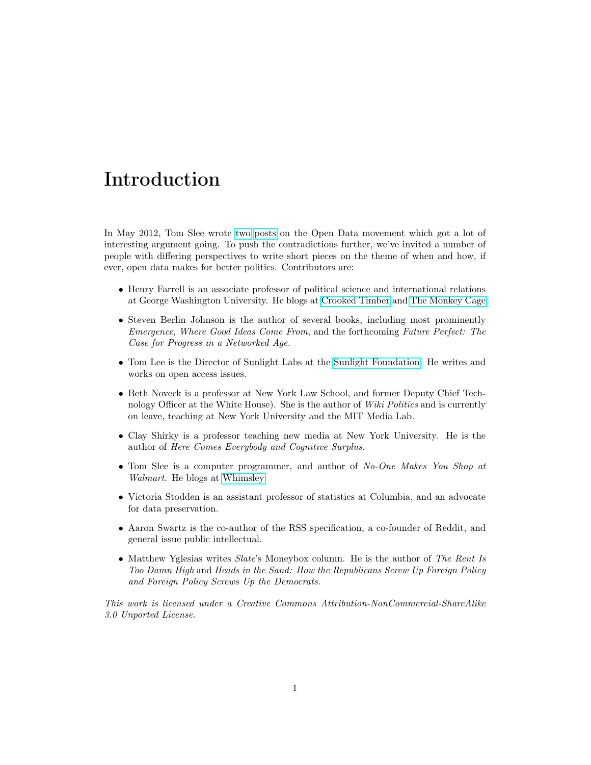### <span id="page-3-0"></span>Introduction

In May 2012, Tom Slee wrote [two](http://whimsley.typepad.com/whimsley/2012/05/why-the-open-data-movement-is-a-joke.html) [posts](http://whimsley.typepad.com/whimsley/2012/05/open-data-movement-redux-tribes-and-contradictions.html) on the Open Data movement which got a lot of interesting argument going. To push the contradictions further, we've invited a number of people with differing perspectives to write short pieces on the theme of when and how, if ever, open data makes for better politics. Contributors are:

- Henry Farrell is an associate professor of political science and international relations at George Washington University. He blogs at [Crooked Timber](http://www.crookedtimber.org) and [The Monkey Cage](http://www.themonkeycage.org)
- Steven Berlin Johnson is the author of several books, including most prominently Emergence, Where Good Ideas Come From, and the forthcoming Future Perfect: The Case for Progress in a Networked Age.
- Tom Lee is the Director of Sunlight Labs at the [Sunlight Foundation.](http://sunlightfoundation.com/) He writes and works on open access issues.
- Beth Noveck is a professor at New York Law School, and former Deputy Chief Technology Officer at the White House). She is the author of *Wiki Politics* and is currently on leave, teaching at New York University and the MIT Media Lab.
- Clay Shirky is a professor teaching new media at New York University. He is the author of Here Comes Everybody and Cognitive Surplus.
- Tom Slee is a computer programmer, and author of No-One Makes You Shop at Walmart. He blogs at [Whimsley.](http://www.whimsley.org)
- Victoria Stodden is an assistant professor of statistics at Columbia, and an advocate for data preservation.
- Aaron Swartz is the co-author of the RSS specification, a co-founder of Reddit, and general issue public intellectual.
- Matthew Yglesias writes *Slate's* Moneybox column. He is the author of The Rent Is Too Damn High and Heads in the Sand: How the Republicans Screw Up Foreign Policy and Foreign Policy Screws Up the Democrats.

This work is licensed under a Creative Commons Attribution-NonCommercial-ShareAlike 3.0 Unported License.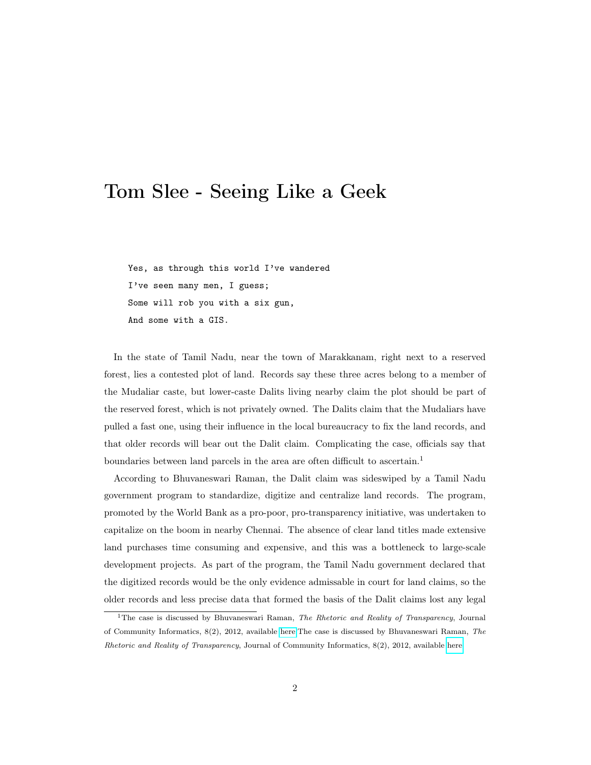### <span id="page-4-0"></span>Tom Slee - Seeing Like a Geek

Yes, as through this world I've wandered I've seen many men, I guess; Some will rob you with a six gun, And some with a GIS.

In the state of Tamil Nadu, near the town of Marakkanam, right next to a reserved forest, lies a contested plot of land. Records say these three acres belong to a member of the Mudaliar caste, but lower-caste Dalits living nearby claim the plot should be part of the reserved forest, which is not privately owned. The Dalits claim that the Mudaliars have pulled a fast one, using their influence in the local bureaucracy to fix the land records, and that older records will bear out the Dalit claim. Complicating the case, officials say that boundaries between land parcels in the area are often difficult to ascertain.<sup>1</sup>

According to Bhuvaneswari Raman, the Dalit claim was sideswiped by a Tamil Nadu government program to standardize, digitize and centralize land records. The program, promoted by the World Bank as a pro-poor, pro-transparency initiative, was undertaken to capitalize on the boom in nearby Chennai. The absence of clear land titles made extensive land purchases time consuming and expensive, and this was a bottleneck to large-scale development projects. As part of the program, the Tamil Nadu government declared that the digitized records would be the only evidence admissable in court for land claims, so the older records and less precise data that formed the basis of the Dalit claims lost any legal

<sup>&</sup>lt;sup>1</sup>The case is discussed by Bhuvaneswari Raman, *The Rhetoric and Reality of Transparency*, Journal of Community Informatics, 8(2), 2012, available [here.](http://ci-journal.net/index.php/ciej/article/view/866/909)The case is discussed by Bhuvaneswari Raman, The Rhetoric and Reality of Transparency, Journal of Community Informatics, 8(2), 2012, available [here.](http://ci-journal.net/index.php/ciej/article/view/866/909)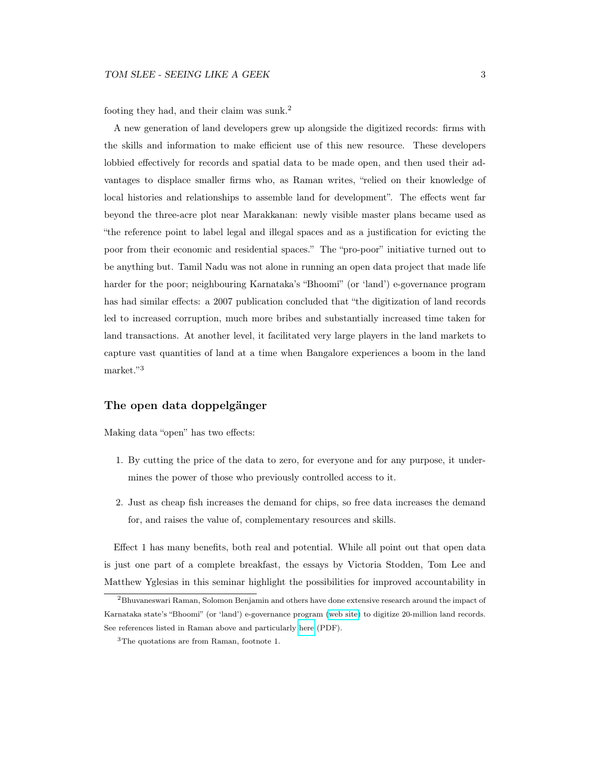footing they had, and their claim was sunk.<sup>2</sup>

A new generation of land developers grew up alongside the digitized records: firms with the skills and information to make efficient use of this new resource. These developers lobbied effectively for records and spatial data to be made open, and then used their advantages to displace smaller firms who, as Raman writes, "relied on their knowledge of local histories and relationships to assemble land for development". The effects went far beyond the three-acre plot near Marakkanan: newly visible master plans became used as "the reference point to label legal and illegal spaces and as a justification for evicting the poor from their economic and residential spaces." The "pro-poor" initiative turned out to be anything but. Tamil Nadu was not alone in running an open data project that made life harder for the poor; neighbouring Karnataka's "Bhoomi" (or 'land') e-governance program has had similar effects: a 2007 publication concluded that "the digitization of land records led to increased corruption, much more bribes and substantially increased time taken for land transactions. At another level, it facilitated very large players in the land markets to capture vast quantities of land at a time when Bangalore experiences a boom in the land market."<sup>3</sup>

### The open data doppelgänger

Making data "open" has two effects:

- 1. By cutting the price of the data to zero, for everyone and for any purpose, it undermines the power of those who previously controlled access to it.
- 2. Just as cheap fish increases the demand for chips, so free data increases the demand for, and raises the value of, complementary resources and skills.

Effect 1 has many benefits, both real and potential. While all point out that open data is just one part of a complete breakfast, the essays by Victoria Stodden, Tom Lee and Matthew Yglesias in this seminar highlight the possibilities for improved accountability in

<sup>2</sup>Bhuvaneswari Raman, Solomon Benjamin and others have done extensive research around the impact of Karnataka state's "Bhoomi" (or 'land') e-governance program [\(web site\)](http://www.bhoomi.karnataka.gov.in/) to digitize 20-million land records. See references listed in Raman above and particularly [here](http://casumm.files.wordpress.com/2008/09/bhoomi-e-governance.pdf) (PDF).

<sup>3</sup>The quotations are from Raman, footnote 1.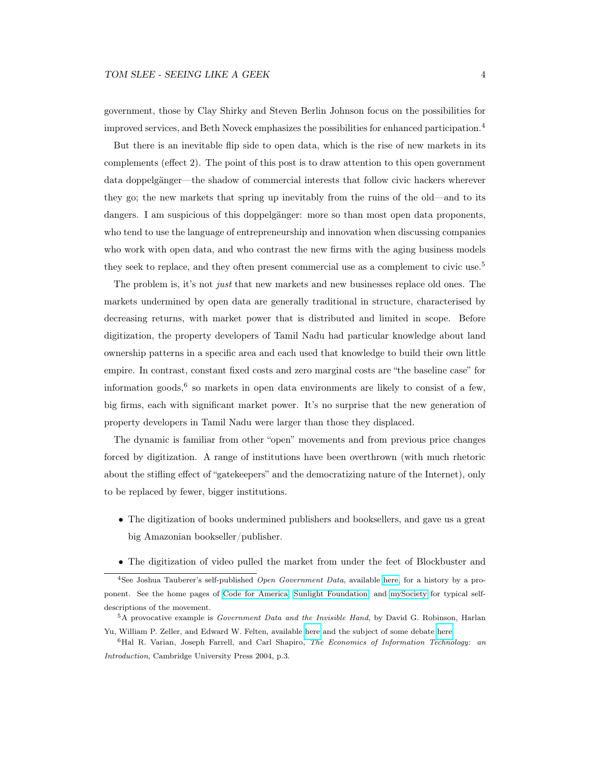government, those by Clay Shirky and Steven Berlin Johnson focus on the possibilities for improved services, and Beth Noveck emphasizes the possibilities for enhanced participation.<sup>4</sup>

But there is an inevitable flip side to open data, which is the rise of new markets in its complements (effect 2). The point of this post is to draw attention to this open government data doppelgänger—the shadow of commercial interests that follow civic hackers wherever they go; the new markets that spring up inevitably from the ruins of the old—and to its dangers. I am suspicious of this doppelgänger: more so than most open data proponents, who tend to use the language of entrepreneurship and innovation when discussing companies who work with open data, and who contrast the new firms with the aging business models they seek to replace, and they often present commercial use as a complement to civic use.<sup>5</sup>

The problem is, it's not *just* that new markets and new businesses replace old ones. The markets undermined by open data are generally traditional in structure, characterised by decreasing returns, with market power that is distributed and limited in scope. Before digitization, the property developers of Tamil Nadu had particular knowledge about land ownership patterns in a specific area and each used that knowledge to build their own little empire. In contrast, constant fixed costs and zero marginal costs are "the baseline case" for information goods,  $6$  so markets in open data environments are likely to consist of a few, big firms, each with significant market power. It's no surprise that the new generation of property developers in Tamil Nadu were larger than those they displaced.

The dynamic is familiar from other "open" movements and from previous price changes forced by digitization. A range of institutions have been overthrown (with much rhetoric about the stifling effect of "gatekeepers" and the democratizing nature of the Internet), only to be replaced by fewer, bigger institutions.

- The digitization of books undermined publishers and booksellers, and gave us a great big Amazonian bookseller/publisher.
- The digitization of video pulled the market from under the feet of Blockbuster and

<sup>&</sup>lt;sup>4</sup>See Joshua Tauberer's self-published *Open Government Data*, available [here,](http://opengovdata.io/) for a history by a proponent. See the home pages of [Code for America,](http://codeforamerica.org/) [Sunlight Foundation,](http://sunlightfoundation.com/) and [mySociety](http://www.mysociety.org/) for typical selfdescriptions of the movement.

 $5A$  provocative example is *Government Data and the Invisible Hand*, by David G. Robinson, Harlan Yu, William P. Zeller, and Edward W. Felten, available [here](http://papers.ssrn.com/sol3/papers.cfm?abstract_id%3D1138083) and the subject of some debate [here.](https://groups.google.com/forum/#!topic/openhouseproject/GZEnZDz17Gk)

<sup>&</sup>lt;sup>6</sup>Hal R. Varian, Joseph Farrell, and Carl Shapiro, The Economics of Information Technology: an Introduction, Cambridge University Press 2004, p.3.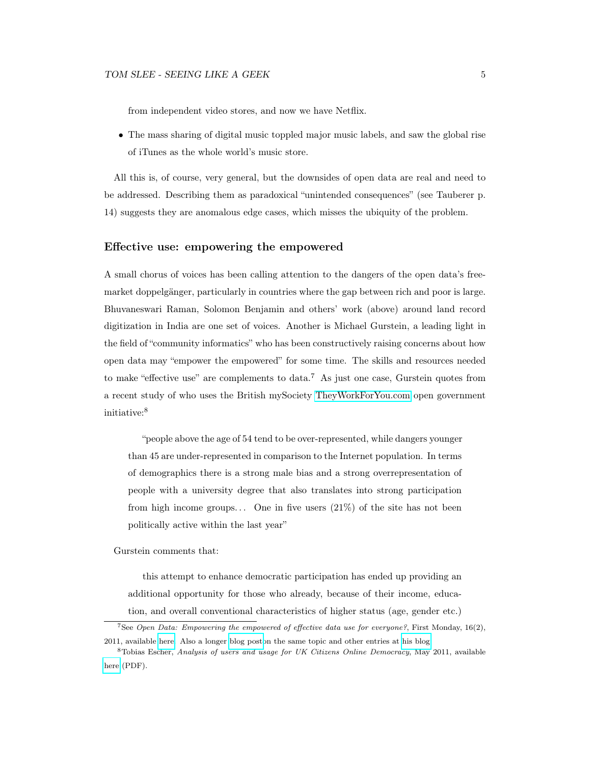from independent video stores, and now we have Netflix.

• The mass sharing of digital music toppled major music labels, and saw the global rise of iTunes as the whole world's music store.

All this is, of course, very general, but the downsides of open data are real and need to be addressed. Describing them as paradoxical "unintended consequences" (see Tauberer p. 14) suggests they are anomalous edge cases, which misses the ubiquity of the problem.

#### Effective use: empowering the empowered

A small chorus of voices has been calling attention to the dangers of the open data's freemarket doppelgänger, particularly in countries where the gap between rich and poor is large. Bhuvaneswari Raman, Solomon Benjamin and others' work (above) around land record digitization in India are one set of voices. Another is Michael Gurstein, a leading light in the field of "community informatics" who has been constructively raising concerns about how open data may "empower the empowered" for some time. The skills and resources needed to make "effective use" are complements to data.<sup>7</sup> As just one case, Gurstein quotes from a recent study of who uses the British mySociety [TheyWorkForYou.com](http://www.theyworkforyou.com) open government initiative:<sup>8</sup>

"people above the age of 54 tend to be over-represented, while dangers younger than 45 are under-represented in comparison to the Internet population. In terms of demographics there is a strong male bias and a strong overrepresentation of people with a university degree that also translates into strong participation from high income groups... One in five users  $(21\%)$  of the site has not been politically active within the last year"

Gurstein comments that:

this attempt to enhance democratic participation has ended up providing an additional opportunity for those who already, because of their income, education, and overall conventional characteristics of higher status (age, gender etc.)

<sup>&</sup>lt;sup>7</sup>See Open Data: Empowering the empowered of effective data use for everyone?, First Monday,  $16(2)$ , 2011, available [here.](http://firstmonday.org/htbin/cgiwrap/bin/ojs/index.php/fm/article/view/3316/2764) Also a longer [blog posto](http://gurstein.wordpress.com/2010/09/02/open-data-empowering-the-empowered-or-effective-data-use-for-everyone/)n the same topic and other entries at [his blog.](https://gurstein.wordpress.com)

<sup>8</sup>Tobias Escher, Analysis of users and usage for UK Citizens Online Democracy, May 2011, available [here](http://www.mysociety.org/wp/wp-content/uploads/2011/06/TheyWorkForYou_research_report-2011-Tobias-Escher1.pdf) (PDF).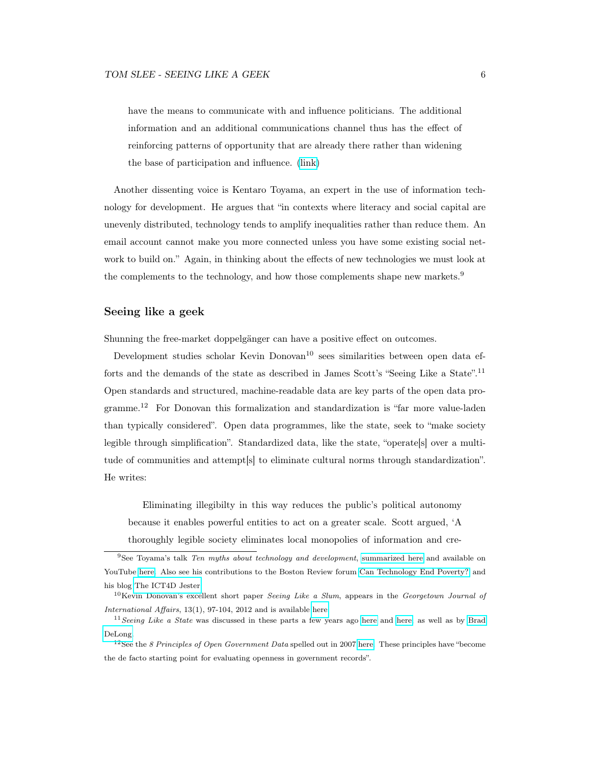have the means to communicate with and influence politicians. The additional information and an additional communications channel thus has the effect of reinforcing patterns of opportunity that are already there rather than widening the base of participation and influence. [\(link\)](http://gurstein.wordpress.com/2011/07/03/are-the-open-data-warriors-fighting-for-robin-hood-or-the-sheriff-some-reflections-on-okcon-2011-and-the-emerging-data-divide/)

Another dissenting voice is Kentaro Toyama, an expert in the use of information technology for development. He argues that "in contexts where literacy and social capital are unevenly distributed, technology tends to amplify inequalities rather than reduce them. An email account cannot make you more connected unless you have some existing social network to build on." Again, in thinking about the effects of new technologies we must look at the complements to the technology, and how those complements shape new markets.<sup>9</sup>

### Seeing like a geek

Shunning the free-market doppelgänger can have a positive effect on outcomes.

Development studies scholar Kevin Donovan<sup>10</sup> sees similarities between open data efforts and the demands of the state as described in James Scott's "Seeing Like a State".<sup>11</sup> Open standards and structured, machine-readable data are key parts of the open data programme.<sup>12</sup> For Donovan this formalization and standardization is "far more value-laden than typically considered". Open data programmes, like the state, seek to "make society legible through simplification". Standardized data, like the state, "operate[s] over a multitude of communities and attempt[s] to eliminate cultural norms through standardization". He writes:

Eliminating illegibilty in this way reduces the public's political autonomy because it enables powerful entities to act on a greater scale. Scott argued, 'A thoroughly legible society eliminates local monopolies of information and cre-

 $9$ See Toyama's talk Ten myths about technology and development, [summarized here](http://fsi.stanford.edu/news/kentaro_toyama_ten_myths_about_technology_and_development_20100225) and available on YouTube [here.](http://youtu.be/E_mTwm5m8DM) Also see his contributions to the Boston Review forum [Can Technology End Poverty?](http://bostonreview.net/BR35.6/ndf_technology.php) and his blog [The ICT4D Jester.](http://ict4djester.org/blog/)

<sup>&</sup>lt;sup>10</sup>Kevin Donovan's excellent short paper Seeing Like a Slum, appears in the Georgetown Journal of International Affairs, 13(1), 97-104, 2012 and is available [here.](http://ssrn.com/abstract=2045556)

 $11$ Seeing Like a State was discussed in these parts a few years ago [here](http://crookedtimber.org/2008/02/05/seeing-like-seeing-like-a-state/) and [here,](http://crookedtimber.org/2007/10/31/delong-scott-and-hayek/) as well as by [Brad](http://delong.typepad.com/sdj/2007/10/james-scott-and.html) [DeLong.](http://delong.typepad.com/sdj/2007/10/james-scott-and.html)

<sup>&</sup>lt;sup>12</sup>See the 8 Principles of Open Government Data spelled out in 2007 [here.](http://www.opengovdata.org/home/8principles) These principles have "become" the de facto starting point for evaluating openness in government records".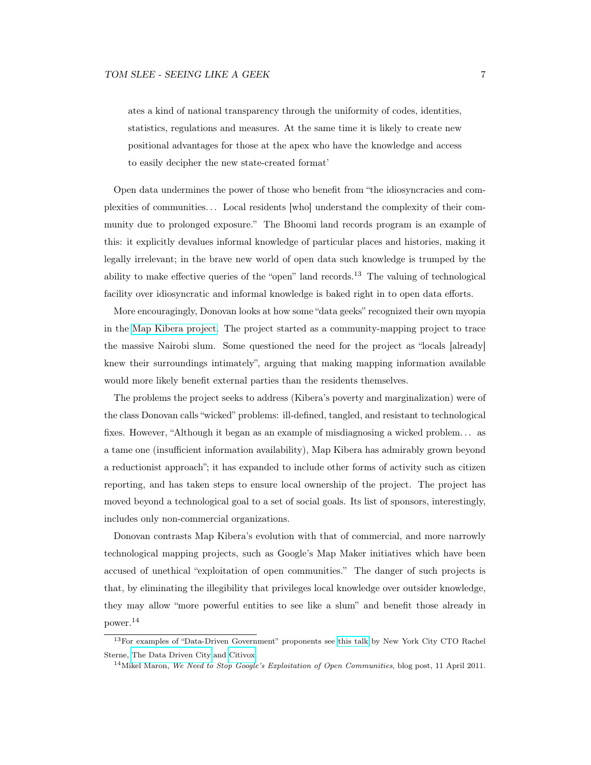ates a kind of national transparency through the uniformity of codes, identities, statistics, regulations and measures. At the same time it is likely to create new positional advantages for those at the apex who have the knowledge and access to easily decipher the new state-created format'

Open data undermines the power of those who benefit from "the idiosyncracies and complexities of communities. . . Local residents [who] understand the complexity of their community due to prolonged exposure." The Bhoomi land records program is an example of this: it explicitly devalues informal knowledge of particular places and histories, making it legally irrelevant; in the brave new world of open data such knowledge is trumped by the ability to make effective queries of the "open" land records.<sup>13</sup> The valuing of technological facility over idiosyncratic and informal knowledge is baked right in to open data efforts.

More encouragingly, Donovan looks at how some "data geeks" recognized their own myopia in the [Map Kibera project.](http://mapkibera.org/) The project started as a community-mapping project to trace the massive Nairobi slum. Some questioned the need for the project as "locals [already] knew their surroundings intimately", arguing that making mapping information available would more likely benefit external parties than the residents themselves.

The problems the project seeks to address (Kibera's poverty and marginalization) were of the class Donovan calls "wicked" problems: ill-defined, tangled, and resistant to technological fixes. However, "Although it began as an example of misdiagnosing a wicked problem. . . as a tame one (insufficient information availability), Map Kibera has admirably grown beyond a reductionist approach"; it has expanded to include other forms of activity such as citizen reporting, and has taken steps to ensure local ownership of the project. The project has moved beyond a technological goal to a set of social goals. Its list of sponsors, interestingly, includes only non-commercial organizations.

Donovan contrasts Map Kibera's evolution with that of commercial, and more narrowly technological mapping projects, such as Google's Map Maker initiatives which have been accused of unethical "exploitation of open communities." The danger of such projects is that, by eliminating the illegibility that privileges local knowledge over outsider knowledge, they may allow "more powerful entities to see like a slum" and benefit those already in power.<sup>14</sup>

<sup>13</sup>For examples of "Data-Driven Government" proponents see [this talk](http://www.datacenterknowledge.com/archives/2011/10/13/data-driven-government-open-data-in-nyc) by New York City CTO Rachel Sterne, [The Data Driven City,](http://datadrivencity.com/category/new-tech/government-apps/)and [Citivox.](http://citivox.com/)

<sup>&</sup>lt;sup>14</sup>Mikel Maron, We Need to Stop Google's Exploitation of Open Communities, blog post, 11 April 2011.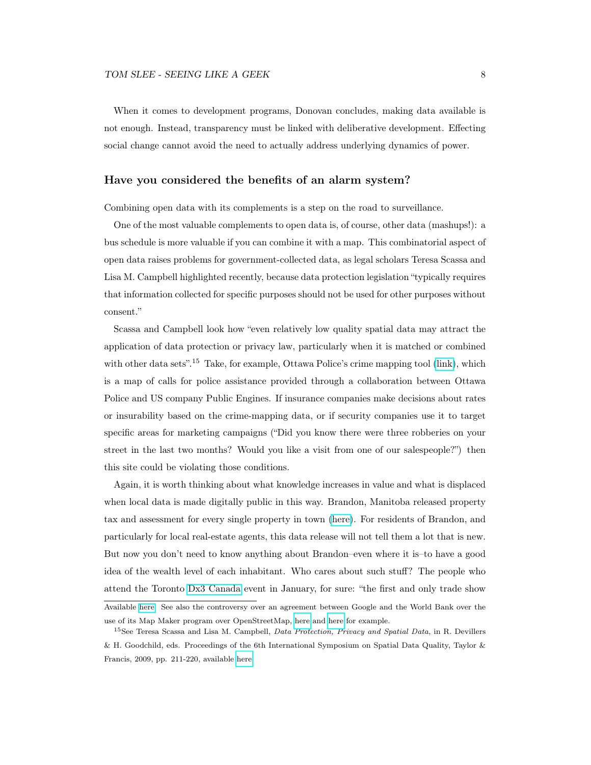When it comes to development programs, Donovan concludes, making data available is not enough. Instead, transparency must be linked with deliberative development. Effecting social change cannot avoid the need to actually address underlying dynamics of power.

### Have you considered the benefits of an alarm system?

Combining open data with its complements is a step on the road to surveillance.

One of the most valuable complements to open data is, of course, other data (mashups!): a bus schedule is more valuable if you can combine it with a map. This combinatorial aspect of open data raises problems for government-collected data, as legal scholars Teresa Scassa and Lisa M. Campbell highlighted recently, because data protection legislation "typically requires that information collected for specific purposes should not be used for other purposes without consent."

Scassa and Campbell look how "even relatively low quality spatial data may attract the application of data protection or privacy law, particularly when it is matched or combined with other data sets".<sup>15</sup> Take, for example, Ottawa Police's crime mapping tool [\(link\)](http://www.ottawapolice.ca/en/crimefiles/crimemaps_reports/cr_redirect.aspx), which is a map of calls for police assistance provided through a collaboration between Ottawa Police and US company Public Engines. If insurance companies make decisions about rates or insurability based on the crime-mapping data, or if security companies use it to target specific areas for marketing campaigns ("Did you know there were three robberies on your street in the last two months? Would you like a visit from one of our salespeople?") then this site could be violating those conditions.

Again, it is worth thinking about what knowledge increases in value and what is displaced when local data is made digitally public in this way. Brandon, Manitoba released property tax and assessment for every single property in town [\(here\)](http://opendata.brandon.ca/). For residents of Brandon, and particularly for local real-estate agents, this data release will not tell them a lot that is new. But now you don't need to know anything about Brandon–even where it is–to have a good idea of the wealth level of each inhabitant. Who cares about such stuff? The people who attend the Toronto [Dx3 Canada](http://www.marketwire.com/press-release/the-city-of-toronto-is-open-for-business-at-dx3-canada-1606935.htm) event in January, for sure: "the first and only trade show

Available [here.](http://brainoff.com/weblog/2011/04/11/1635) See also the controversy over an agreement between Google and the World Bank over the use of its Map Maker program over OpenStreetMap, [here](http://blogs.cgdev.org/globaldevelopment/2012/03/the-world-bank-gets-open.php) and [here](http://kelsocartography.com/blog/?p%3D4215) for example.

<sup>&</sup>lt;sup>15</sup>See Teresa Scassa and Lisa M. Campbell, *Data Protection, Privacy and Spatial Data*, in R. Devillers & H. Goodchild, eds. Proceedings of the 6th International Symposium on Spatial Data Quality, Taylor & Francis, 2009, pp. 211-220, available [here.](http://www.crcnetbase.com/doi/abs/10.1201/b10305-24)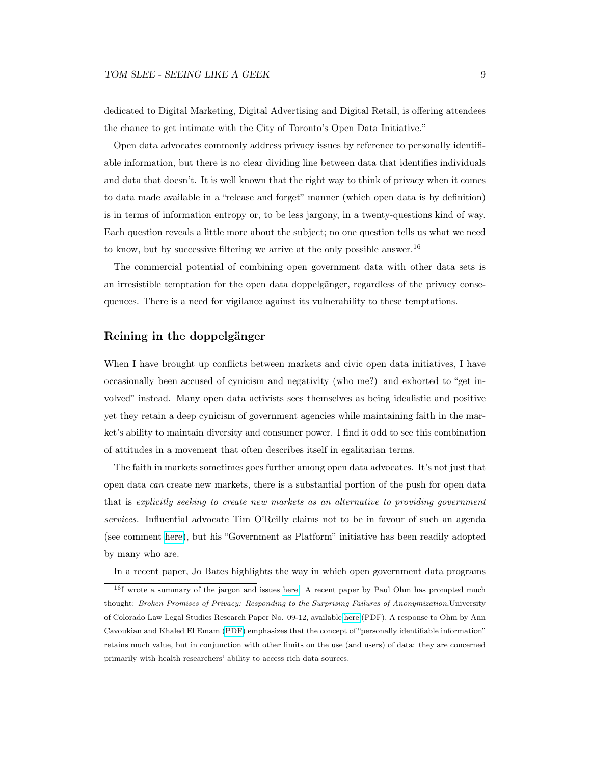dedicated to Digital Marketing, Digital Advertising and Digital Retail, is offering attendees the chance to get intimate with the City of Toronto's Open Data Initiative."

Open data advocates commonly address privacy issues by reference to personally identifiable information, but there is no clear dividing line between data that identifies individuals and data that doesn't. It is well known that the right way to think of privacy when it comes to data made available in a "release and forget" manner (which open data is by definition) is in terms of information entropy or, to be less jargony, in a twenty-questions kind of way. Each question reveals a little more about the subject; no one question tells us what we need to know, but by successive filtering we arrive at the only possible answer.<sup>16</sup>

The commercial potential of combining open government data with other data sets is an irresistible temptation for the open data doppelgänger, regardless of the privacy consequences. There is a need for vigilance against its vulnerability to these temptations.

### Reining in the doppelgänger

When I have brought up conflicts between markets and civic open data initiatives, I have occasionally been accused of cynicism and negativity (who me?) and exhorted to "get involved" instead. Many open data activists sees themselves as being idealistic and positive yet they retain a deep cynicism of government agencies while maintaining faith in the market's ability to maintain diversity and consumer power. I find it odd to see this combination of attitudes in a movement that often describes itself in egalitarian terms.

The faith in markets sometimes goes further among open data advocates. It's not just that open data can create new markets, there is a substantial portion of the push for open data that is explicitly seeking to create new markets as an alternative to providing government services. Influential advocate Tim O'Reilly claims not to be in favour of such an agenda (see comment [here\)](http://whimsley.typepad.com/whimsley/2012/05/open-data-movement-redux-tribes-and-contradictions.html?cid%3D6a00d83451d3b369e20168eb5ba697970c#comment-6a00d83451d3b369e20168eb5ba697970c), but his "Government as Platform" initiative has been readily adopted by many who are.

In a recent paper, Jo Bates highlights the way in which open government data programs

<sup>&</sup>lt;sup>16</sup>I wrote a summary of the jargon and issues [here.](http://whimsley.typepad.com/whimsley/2011/09/data-anonymization-and-re-identification-some-basics-of-data-privacy.html) A recent paper by Paul Ohm has prompted much thought: Broken Promises of Privacy: Responding to the Surprising Failures of Anonymization,University of Colorado Law Legal Studies Research Paper No. 09-12, available [here](http://epic.org/privacy/reidentification/ohm_article.pdf) (PDF). A response to Ohm by Ann Cavoukian and Khaled El Emam [\(PDF\)](http://www.ipc.on.ca/images/Resources/anonymization.pdf) emphasizes that the concept of "personally identifiable information" retains much value, but in conjunction with other limits on the use (and users) of data: they are concerned primarily with health researchers' ability to access rich data sources.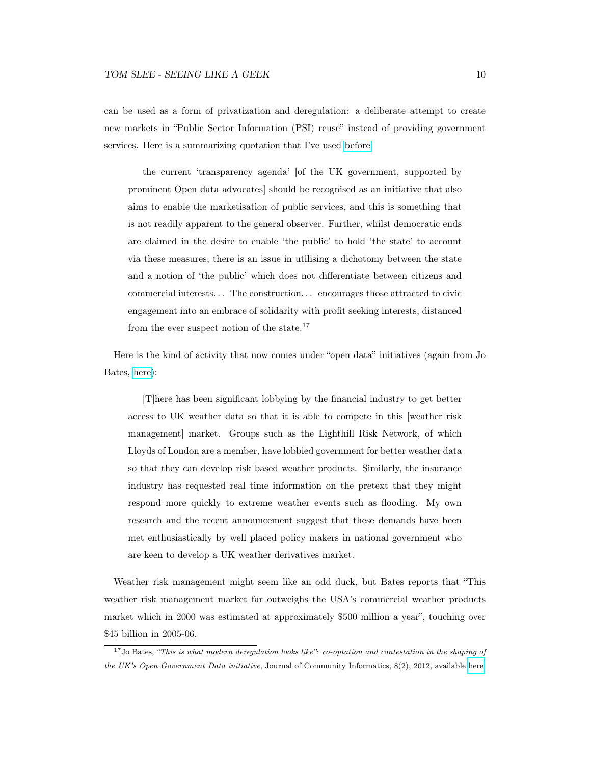can be used as a form of privatization and deregulation: a deliberate attempt to create new markets in "Public Sector Information (PSI) reuse" instead of providing government services. Here is a summarizing quotation that I've used [before:](http://whimsley.typepad.com/whimsley/2012/05/open-data-movement-redux-tribes-and-contradictions.html#sec-5)

the current 'transparency agenda' [of the UK government, supported by prominent Open data advocates] should be recognised as an initiative that also aims to enable the marketisation of public services, and this is something that is not readily apparent to the general observer. Further, whilst democratic ends are claimed in the desire to enable 'the public' to hold 'the state' to account via these measures, there is an issue in utilising a dichotomy between the state and a notion of 'the public' which does not differentiate between citizens and commercial interests. . . The construction. . . encourages those attracted to civic engagement into an embrace of solidarity with profit seeking interests, distanced from the ever suspect notion of the state.<sup>17</sup>

Here is the kind of activity that now comes under "open data" initiatives (again from Jo Bates, [here\)](http://j0bates.wordpress.com/2012/01/04/open-data-weather-derivatives-and-the-autumn-statement/):

[T]here has been significant lobbying by the financial industry to get better access to UK weather data so that it is able to compete in this [weather risk management] market. Groups such as the Lighthill Risk Network, of which Lloyds of London are a member, have lobbied government for better weather data so that they can develop risk based weather products. Similarly, the insurance industry has requested real time information on the pretext that they might respond more quickly to extreme weather events such as flooding. My own research and the recent announcement suggest that these demands have been met enthusiastically by well placed policy makers in national government who are keen to develop a UK weather derivatives market.

Weather risk management might seem like an odd duck, but Bates reports that "This weather risk management market far outweighs the USA's commercial weather products market which in 2000 was estimated at approximately \$500 million a year", touching over \$45 billion in 2005-06.

 $17$ Jo Bates, "This is what modern deregulation looks like": co-optation and contestation in the shaping of the UK's Open Government Data initiative, Journal of Community Informatics, 8(2), 2012, available [here.](http://ci-journal.net/index.php/ciej/article/view/845/916)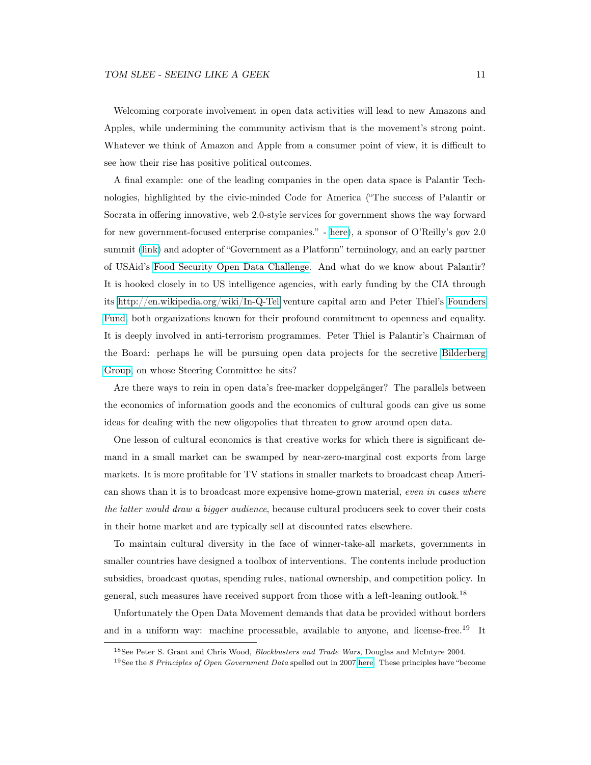Welcoming corporate involvement in open data activities will lead to new Amazons and Apples, while undermining the community activism that is the movement's strong point. Whatever we think of Amazon and Apple from a consumer point of view, it is difficult to see how their rise has positive political outcomes.

A final example: one of the leading companies in the open data space is Palantir Technologies, highlighted by the civic-minded Code for America ("The success of Palantir or Socrata in offering innovative, web 2.0-style services for government shows the way forward for new government-focused enterprise companies." - [here\)](http://techcrunch.com/2012/06/02/how-to-cash-in-on-government-as-a-platform/), a sponsor of O'Reilly's gov 2.0 summit [\(link\)](http://www.gov2summit.com/gov2009/public/schedule/detail/10532) and adopter of "Government as a Platform" terminology, and an early partner of USAid's [Food Security Open Data Challenge.](http://blog.usaid.gov/2012/05/food-security-open-data-challenge/) And what do we know about Palantir? It is hooked closely in to US intelligence agencies, with early funding by the CIA through its [http://en.wikipedia.org/wiki/In-Q-Tel](#page-0-0) venture capital arm and Peter Thiel's [Founders](http://en.wikipedia.org/wiki/The_Founders_Fund) [Fund,](http://en.wikipedia.org/wiki/The_Founders_Fund) both organizations known for their profound commitment to openness and equality. It is deeply involved in anti-terrorism programmes. Peter Thiel is Palantir's Chairman of the Board: perhaps he will be pursuing open data projects for the secretive [Bilderberg](http://en.wikipedia.org/wiki/Bilderberg_Group) [Group,](http://en.wikipedia.org/wiki/Bilderberg_Group) on whose Steering Committee he sits?

Are there ways to rein in open data's free-marker doppelgänger? The parallels between the economics of information goods and the economics of cultural goods can give us some ideas for dealing with the new oligopolies that threaten to grow around open data.

One lesson of cultural economics is that creative works for which there is significant demand in a small market can be swamped by near-zero-marginal cost exports from large markets. It is more profitable for TV stations in smaller markets to broadcast cheap American shows than it is to broadcast more expensive home-grown material, even in cases where the latter would draw a bigger audience, because cultural producers seek to cover their costs in their home market and are typically sell at discounted rates elsewhere.

To maintain cultural diversity in the face of winner-take-all markets, governments in smaller countries have designed a toolbox of interventions. The contents include production subsidies, broadcast quotas, spending rules, national ownership, and competition policy. In general, such measures have received support from those with a left-leaning outlook.<sup>18</sup>

Unfortunately the Open Data Movement demands that data be provided without borders and in a uniform way: machine processable, available to anyone, and license-free.<sup>19</sup> It

<sup>&</sup>lt;sup>18</sup>See Peter S. Grant and Chris Wood, *Blockbusters and Trade Wars*, Douglas and McIntyre 2004.

<sup>&</sup>lt;sup>19</sup>See the 8 Principles of Open Government Data spelled out in 2007 [here.](http://www.opengovdata.org/home/8principles) These principles have "become"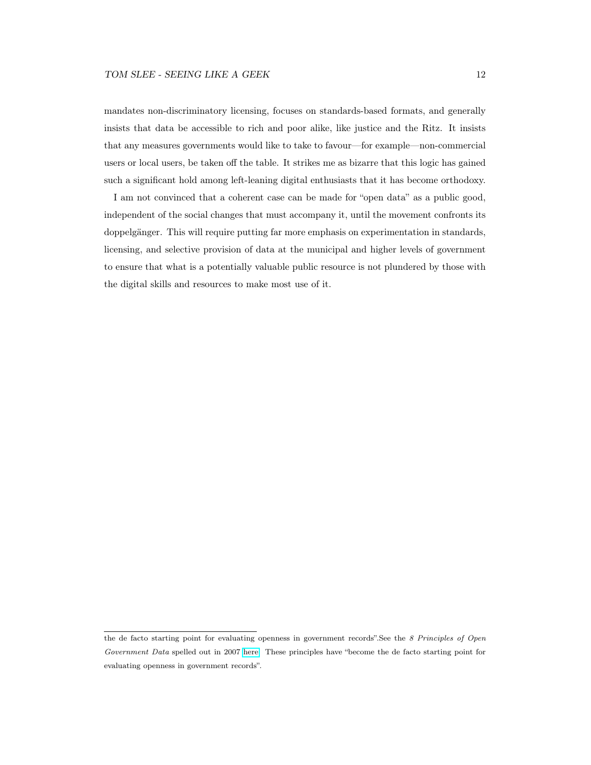mandates non-discriminatory licensing, focuses on standards-based formats, and generally insists that data be accessible to rich and poor alike, like justice and the Ritz. It insists that any measures governments would like to take to favour—for example—non-commercial users or local users, be taken off the table. It strikes me as bizarre that this logic has gained such a significant hold among left-leaning digital enthusiasts that it has become orthodoxy.

I am not convinced that a coherent case can be made for "open data" as a public good, independent of the social changes that must accompany it, until the movement confronts its doppelgänger. This will require putting far more emphasis on experimentation in standards, licensing, and selective provision of data at the municipal and higher levels of government to ensure that what is a potentially valuable public resource is not plundered by those with the digital skills and resources to make most use of it.

the de facto starting point for evaluating openness in government records".See the 8 Principles of Open Government Data spelled out in 2007 [here.](http://www.opengovdata.org/home/8principles) These principles have "become the de facto starting point for evaluating openness in government records".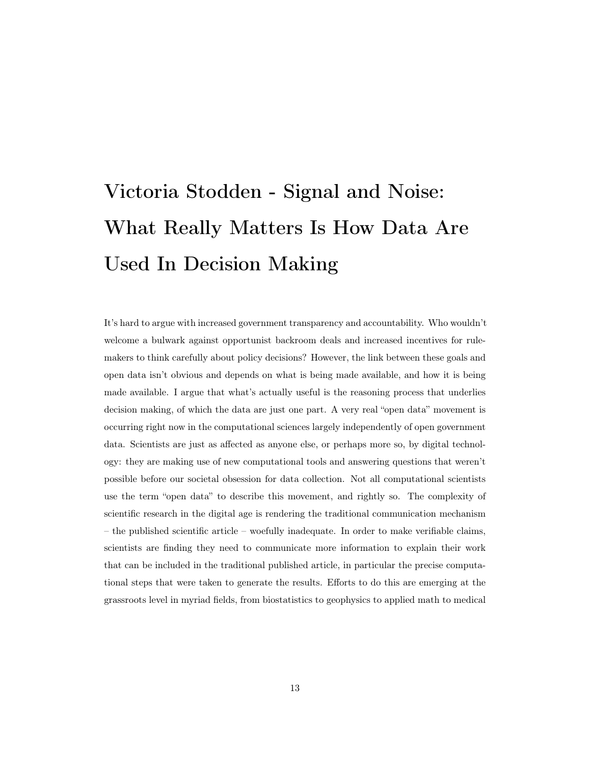# <span id="page-15-0"></span>Victoria Stodden - Signal and Noise: What Really Matters Is How Data Are Used In Decision Making

It's hard to argue with increased government transparency and accountability. Who wouldn't welcome a bulwark against opportunist backroom deals and increased incentives for rulemakers to think carefully about policy decisions? However, the link between these goals and open data isn't obvious and depends on what is being made available, and how it is being made available. I argue that what's actually useful is the reasoning process that underlies decision making, of which the data are just one part. A very real "open data" movement is occurring right now in the computational sciences largely independently of open government data. Scientists are just as affected as anyone else, or perhaps more so, by digital technology: they are making use of new computational tools and answering questions that weren't possible before our societal obsession for data collection. Not all computational scientists use the term "open data" to describe this movement, and rightly so. The complexity of scientific research in the digital age is rendering the traditional communication mechanism – the published scientific article – woefully inadequate. In order to make verifiable claims, scientists are finding they need to communicate more information to explain their work that can be included in the traditional published article, in particular the precise computational steps that were taken to generate the results. Efforts to do this are emerging at the grassroots level in myriad fields, from biostatistics to geophysics to applied math to medical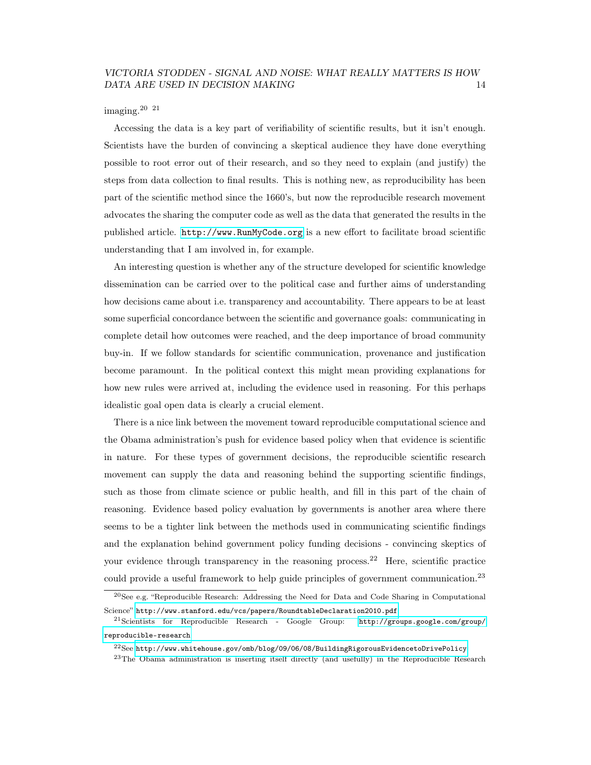### VICTORIA STODDEN - SIGNAL AND NOISE: WHAT REALLY MATTERS IS HOW DATA ARE USED IN DECISION MAKING 14

### imaging.20 21

Accessing the data is a key part of verifiability of scientific results, but it isn't enough. Scientists have the burden of convincing a skeptical audience they have done everything possible to root error out of their research, and so they need to explain (and justify) the steps from data collection to final results. This is nothing new, as reproducibility has been part of the scientific method since the 1660's, but now the reproducible research movement advocates the sharing the computer code as well as the data that generated the results in the published article. <http://www.RunMyCode.org> is a new effort to facilitate broad scientific understanding that I am involved in, for example.

An interesting question is whether any of the structure developed for scientific knowledge dissemination can be carried over to the political case and further aims of understanding how decisions came about i.e. transparency and accountability. There appears to be at least some superficial concordance between the scientific and governance goals: communicating in complete detail how outcomes were reached, and the deep importance of broad community buy-in. If we follow standards for scientific communication, provenance and justification become paramount. In the political context this might mean providing explanations for how new rules were arrived at, including the evidence used in reasoning. For this perhaps idealistic goal open data is clearly a crucial element.

There is a nice link between the movement toward reproducible computational science and the Obama administration's push for evidence based policy when that evidence is scientific in nature. For these types of government decisions, the reproducible scientific research movement can supply the data and reasoning behind the supporting scientific findings, such as those from climate science or public health, and fill in this part of the chain of reasoning. Evidence based policy evaluation by governments is another area where there seems to be a tighter link between the methods used in communicating scientific findings and the explanation behind government policy funding decisions - convincing skeptics of your evidence through transparency in the reasoning process.<sup>22</sup> Here, scientific practice could provide a useful framework to help guide principles of government communication.<sup>23</sup>

 $^{22}$ See <http://www.whitehouse.gov/omb/blog/09/06/08/BuildingRigorousEvidencetoDrivePolicy>

<sup>23</sup>The Obama administration is inserting itself directly (and usefully) in the Reproducible Research

<sup>20</sup>See e.g. "Reproducible Research: Addressing the Need for Data and Code Sharing in Computational Science" <http://www.stanford.edu/vcs/papers/RoundtableDeclaration2010.pdf>

<sup>21</sup>Scientists for Reproducible Research - Google Group: [http://groups.google.com/group/](http://groups.google.com/group/reproducible-research) [reproducible-research](http://groups.google.com/group/reproducible-research)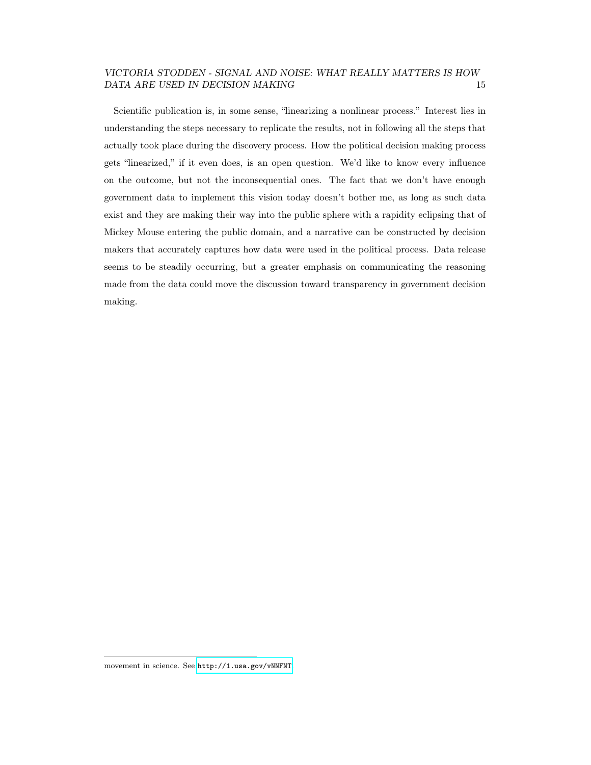### VICTORIA STODDEN - SIGNAL AND NOISE: WHAT REALLY MATTERS IS HOW DATA ARE USED IN DECISION MAKING 15

Scientific publication is, in some sense, "linearizing a nonlinear process." Interest lies in understanding the steps necessary to replicate the results, not in following all the steps that actually took place during the discovery process. How the political decision making process gets "linearized," if it even does, is an open question. We'd like to know every influence on the outcome, but not the inconsequential ones. The fact that we don't have enough government data to implement this vision today doesn't bother me, as long as such data exist and they are making their way into the public sphere with a rapidity eclipsing that of Mickey Mouse entering the public domain, and a narrative can be constructed by decision makers that accurately captures how data were used in the political process. Data release seems to be steadily occurring, but a greater emphasis on communicating the reasoning made from the data could move the discussion toward transparency in government decision making.

movement in science. See <http://1.usa.gov/vNNFNT>.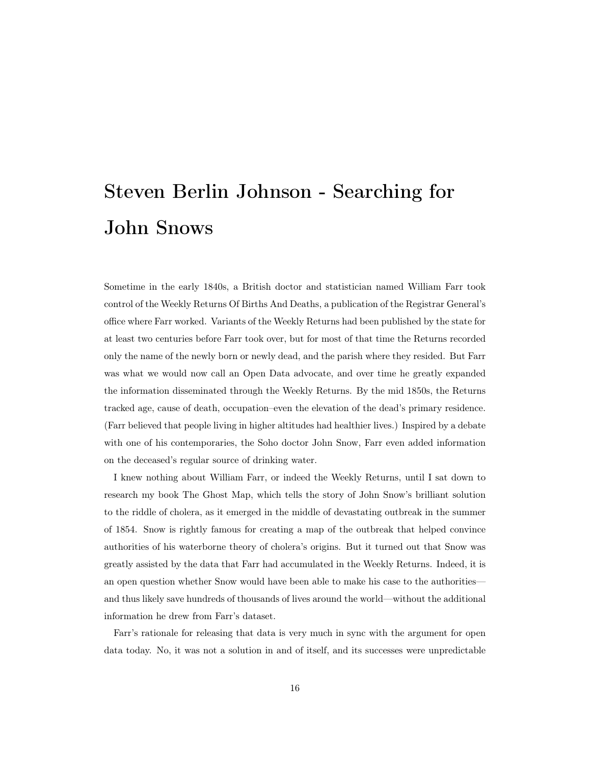## <span id="page-18-0"></span>Steven Berlin Johnson - Searching for John Snows

Sometime in the early 1840s, a British doctor and statistician named William Farr took control of the Weekly Returns Of Births And Deaths, a publication of the Registrar General's office where Farr worked. Variants of the Weekly Returns had been published by the state for at least two centuries before Farr took over, but for most of that time the Returns recorded only the name of the newly born or newly dead, and the parish where they resided. But Farr was what we would now call an Open Data advocate, and over time he greatly expanded the information disseminated through the Weekly Returns. By the mid 1850s, the Returns tracked age, cause of death, occupation–even the elevation of the dead's primary residence. (Farr believed that people living in higher altitudes had healthier lives.) Inspired by a debate with one of his contemporaries, the Soho doctor John Snow, Farr even added information on the deceased's regular source of drinking water.

I knew nothing about William Farr, or indeed the Weekly Returns, until I sat down to research my book The Ghost Map, which tells the story of John Snow's brilliant solution to the riddle of cholera, as it emerged in the middle of devastating outbreak in the summer of 1854. Snow is rightly famous for creating a map of the outbreak that helped convince authorities of his waterborne theory of cholera's origins. But it turned out that Snow was greatly assisted by the data that Farr had accumulated in the Weekly Returns. Indeed, it is an open question whether Snow would have been able to make his case to the authorities and thus likely save hundreds of thousands of lives around the world—without the additional information he drew from Farr's dataset.

Farr's rationale for releasing that data is very much in sync with the argument for open data today. No, it was not a solution in and of itself, and its successes were unpredictable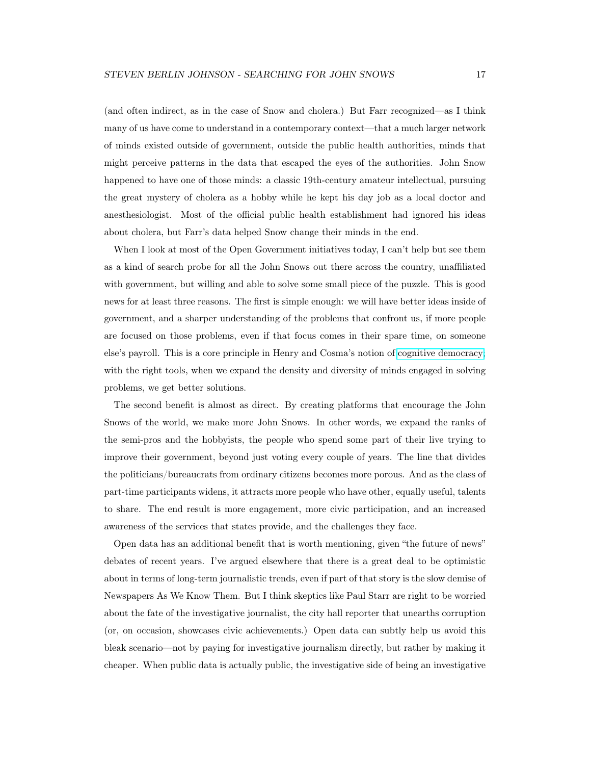(and often indirect, as in the case of Snow and cholera.) But Farr recognized—as I think many of us have come to understand in a contemporary context—that a much larger network of minds existed outside of government, outside the public health authorities, minds that might perceive patterns in the data that escaped the eyes of the authorities. John Snow happened to have one of those minds: a classic 19th-century amateur intellectual, pursuing the great mystery of cholera as a hobby while he kept his day job as a local doctor and anesthesiologist. Most of the official public health establishment had ignored his ideas about cholera, but Farr's data helped Snow change their minds in the end.

When I look at most of the Open Government initiatives today, I can't help but see them as a kind of search probe for all the John Snows out there across the country, unaffiliated with government, but willing and able to solve some small piece of the puzzle. This is good news for at least three reasons. The first is simple enough: we will have better ideas inside of government, and a sharper understanding of the problems that confront us, if more people are focused on those problems, even if that focus comes in their spare time, on someone else's payroll. This is a core principle in Henry and Cosma's notion of [cognitive democracy;](http://crookedtimber.org/2012/05/23/cognitive-democracy/) with the right tools, when we expand the density and diversity of minds engaged in solving problems, we get better solutions.

The second benefit is almost as direct. By creating platforms that encourage the John Snows of the world, we make more John Snows. In other words, we expand the ranks of the semi-pros and the hobbyists, the people who spend some part of their live trying to improve their government, beyond just voting every couple of years. The line that divides the politicians/bureaucrats from ordinary citizens becomes more porous. And as the class of part-time participants widens, it attracts more people who have other, equally useful, talents to share. The end result is more engagement, more civic participation, and an increased awareness of the services that states provide, and the challenges they face.

Open data has an additional benefit that is worth mentioning, given "the future of news" debates of recent years. I've argued elsewhere that there is a great deal to be optimistic about in terms of long-term journalistic trends, even if part of that story is the slow demise of Newspapers As We Know Them. But I think skeptics like Paul Starr are right to be worried about the fate of the investigative journalist, the city hall reporter that unearths corruption (or, on occasion, showcases civic achievements.) Open data can subtly help us avoid this bleak scenario—not by paying for investigative journalism directly, but rather by making it cheaper. When public data is actually public, the investigative side of being an investigative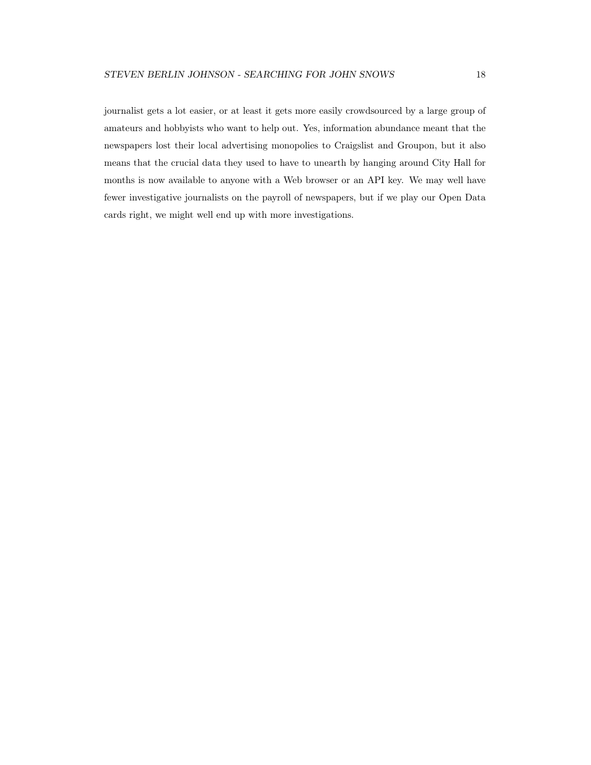journalist gets a lot easier, or at least it gets more easily crowdsourced by a large group of amateurs and hobbyists who want to help out. Yes, information abundance meant that the newspapers lost their local advertising monopolies to Craigslist and Groupon, but it also means that the crucial data they used to have to unearth by hanging around City Hall for months is now available to anyone with a Web browser or an API key. We may well have fewer investigative journalists on the payroll of newspapers, but if we play our Open Data cards right, we might well end up with more investigations.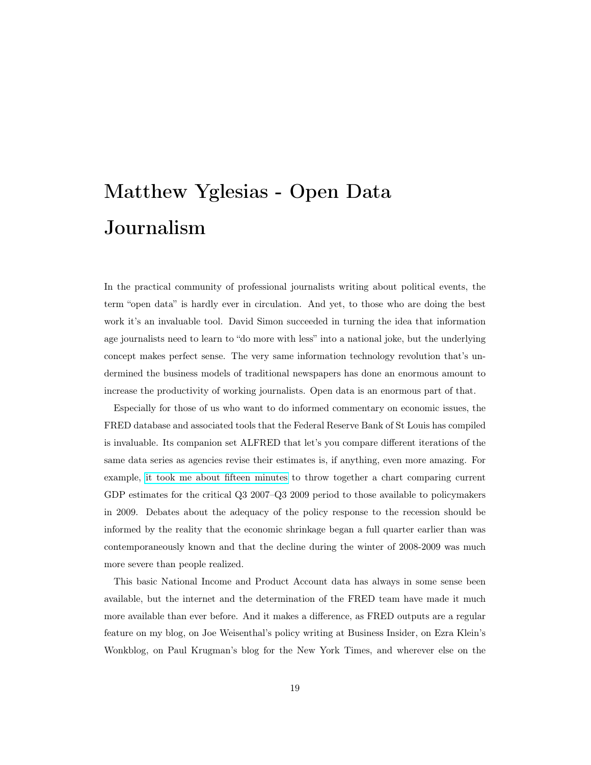## <span id="page-21-0"></span>Matthew Yglesias - Open Data Journalism

In the practical community of professional journalists writing about political events, the term "open data" is hardly ever in circulation. And yet, to those who are doing the best work it's an invaluable tool. David Simon succeeded in turning the idea that information age journalists need to learn to "do more with less" into a national joke, but the underlying concept makes perfect sense. The very same information technology revolution that's undermined the business models of traditional newspapers has done an enormous amount to increase the productivity of working journalists. Open data is an enormous part of that.

Especially for those of us who want to do informed commentary on economic issues, the FRED database and associated tools that the Federal Reserve Bank of St Louis has compiled is invaluable. Its companion set ALFRED that let's you compare different iterations of the same data series as agencies revise their estimates is, if anything, even more amazing. For example, [it took me about fifteen minutes](http://alfred.stlouisfed.org/graph/?g=7NU) to throw together a chart comparing current GDP estimates for the critical Q3 2007–Q3 2009 period to those available to policymakers in 2009. Debates about the adequacy of the policy response to the recession should be informed by the reality that the economic shrinkage began a full quarter earlier than was contemporaneously known and that the decline during the winter of 2008-2009 was much more severe than people realized.

This basic National Income and Product Account data has always in some sense been available, but the internet and the determination of the FRED team have made it much more available than ever before. And it makes a difference, as FRED outputs are a regular feature on my blog, on Joe Weisenthal's policy writing at Business Insider, on Ezra Klein's Wonkblog, on Paul Krugman's blog for the New York Times, and wherever else on the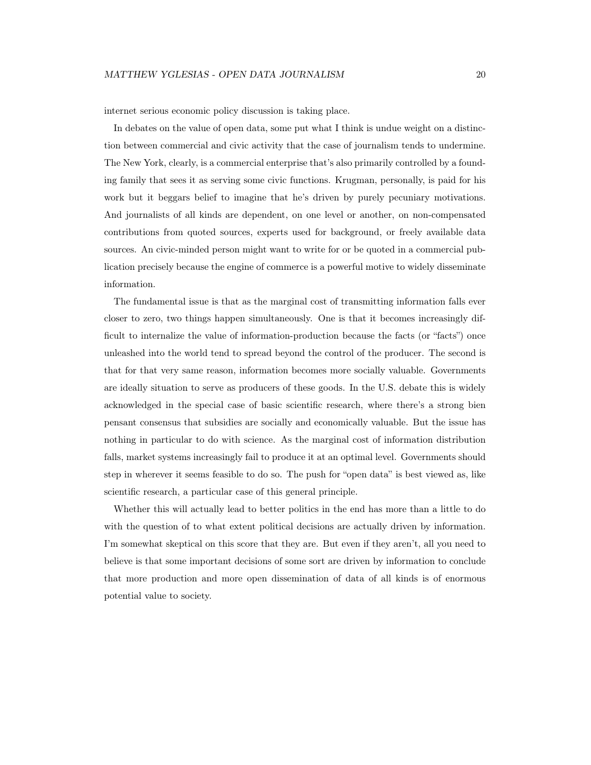internet serious economic policy discussion is taking place.

In debates on the value of open data, some put what I think is undue weight on a distinction between commercial and civic activity that the case of journalism tends to undermine. The New York, clearly, is a commercial enterprise that's also primarily controlled by a founding family that sees it as serving some civic functions. Krugman, personally, is paid for his work but it beggars belief to imagine that he's driven by purely pecuniary motivations. And journalists of all kinds are dependent, on one level or another, on non-compensated contributions from quoted sources, experts used for background, or freely available data sources. An civic-minded person might want to write for or be quoted in a commercial publication precisely because the engine of commerce is a powerful motive to widely disseminate information.

The fundamental issue is that as the marginal cost of transmitting information falls ever closer to zero, two things happen simultaneously. One is that it becomes increasingly difficult to internalize the value of information-production because the facts (or "facts") once unleashed into the world tend to spread beyond the control of the producer. The second is that for that very same reason, information becomes more socially valuable. Governments are ideally situation to serve as producers of these goods. In the U.S. debate this is widely acknowledged in the special case of basic scientific research, where there's a strong bien pensant consensus that subsidies are socially and economically valuable. But the issue has nothing in particular to do with science. As the marginal cost of information distribution falls, market systems increasingly fail to produce it at an optimal level. Governments should step in wherever it seems feasible to do so. The push for "open data" is best viewed as, like scientific research, a particular case of this general principle.

Whether this will actually lead to better politics in the end has more than a little to do with the question of to what extent political decisions are actually driven by information. I'm somewhat skeptical on this score that they are. But even if they aren't, all you need to believe is that some important decisions of some sort are driven by information to conclude that more production and more open dissemination of data of all kinds is of enormous potential value to society.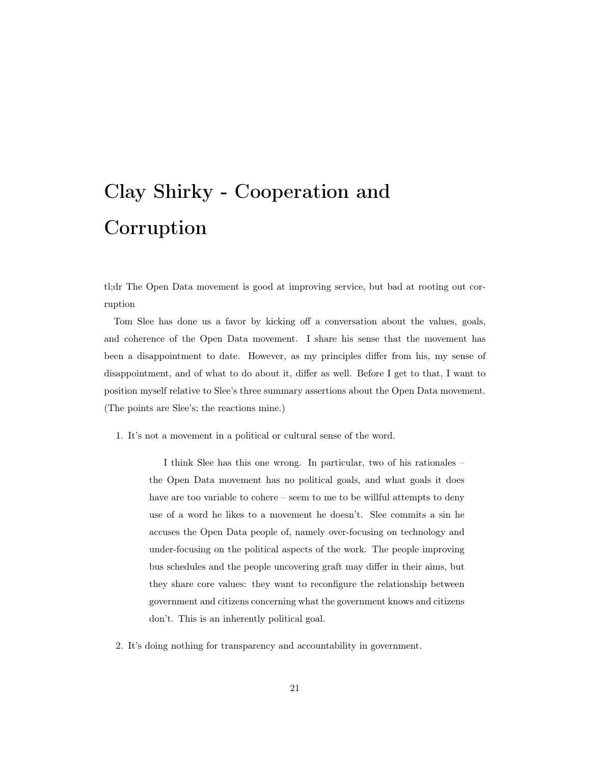## <span id="page-23-0"></span>Clay Shirky - Cooperation and Corruption

tl;dr The Open Data movement is good at improving service, but bad at rooting out corruption

Tom Slee has done us a favor by kicking off a conversation about the values, goals, and coherence of the Open Data movement. I share his sense that the movement has been a disappointment to date. However, as my principles differ from his, my sense of disappointment, and of what to do about it, differ as well. Before I get to that, I want to position myself relative to Slee's three summary assertions about the Open Data movement. (The points are Slee's; the reactions mine.)

1. It's not a movement in a political or cultural sense of the word.

I think Slee has this one wrong. In particular, two of his rationales – the Open Data movement has no political goals, and what goals it does have are too variable to cohere – seem to me to be willful attempts to deny use of a word he likes to a movement he doesn't. Slee commits a sin he accuses the Open Data people of, namely over-focusing on technology and under-focusing on the political aspects of the work. The people improving bus schedules and the people uncovering graft may differ in their aims, but they share core values: they want to reconfigure the relationship between government and citizens concerning what the government knows and citizens don't. This is an inherently political goal.

2. It's doing nothing for transparency and accountability in government.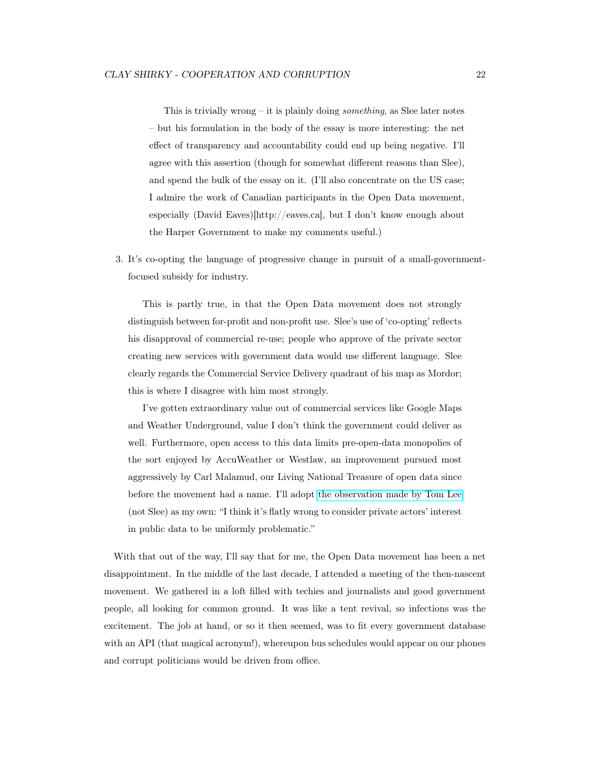This is trivially wrong – it is plainly doing *something*, as Slee later notes – but his formulation in the body of the essay is more interesting: the net effect of transparency and accountability could end up being negative. I'll agree with this assertion (though for somewhat different reasons than Slee), and spend the bulk of the essay on it. (I'll also concentrate on the US case; I admire the work of Canadian participants in the Open Data movement, especially (David Eaves)[http://eaves.ca], but I don't know enough about the Harper Government to make my comments useful.)

3. It's co-opting the language of progressive change in pursuit of a small-governmentfocused subsidy for industry.

This is partly true, in that the Open Data movement does not strongly distinguish between for-profit and non-profit use. Slee's use of 'co-opting' reflects his disapproval of commercial re-use; people who approve of the private sector creating new services with government data would use different language. Slee clearly regards the Commercial Service Delivery quadrant of his map as Mordor; this is where I disagree with him most strongly.

I've gotten extraordinary value out of commercial services like Google Maps and Weather Underground, value I don't think the government could deliver as well. Furthermore, open access to this data limits pre-open-data monopolies of the sort enjoyed by AccuWeather or Westlaw, an improvement pursued most aggressively by Carl Malamud, our Living National Treasure of open data since before the movement had a name. I'll adopt [the observation made by Tom Lee](http://sunlightfoundation.com/blog/2012/05/02/defending-the-big-tent-open-data-inclusivity-and-activism/) (not Slee) as my own: "I think it's flatly wrong to consider private actors' interest in public data to be uniformly problematic."

With that out of the way, I'll say that for me, the Open Data movement has been a net disappointment. In the middle of the last decade, I attended a meeting of the then-nascent movement. We gathered in a loft filled with techies and journalists and good government people, all looking for common ground. It was like a tent revival, so infections was the excitement. The job at hand, or so it then seemed, was to fit every government database with an API (that magical acronym!), whereupon bus schedules would appear on our phones and corrupt politicians would be driven from office.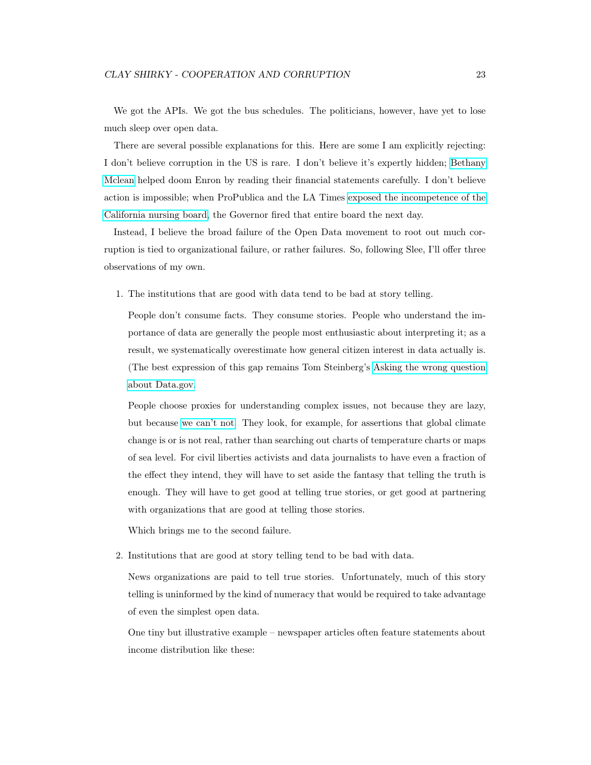We got the APIs. We got the bus schedules. The politicians, however, have yet to lose much sleep over open data.

There are several possible explanations for this. Here are some I am explicitly rejecting: I don't believe corruption in the US is rare. I don't believe it's expertly hidden; [Bethany](http://money.cnn.com/2006/01/13/news/companies/enronoriginal_fortune/index.htm) [Mclean](http://money.cnn.com/2006/01/13/news/companies/enronoriginal_fortune/index.htm) helped doom Enron by reading their financial statements carefully. I don't believe action is impossible; when ProPublica and the LA Times [exposed the incompetence of the](http://www.propublica.org/series/nurses) [California nursing board,](http://www.propublica.org/series/nurses) the Governor fired that entire board the next day.

Instead, I believe the broad failure of the Open Data movement to root out much corruption is tied to organizational failure, or rather failures. So, following Slee, I'll offer three observations of my own.

1. The institutions that are good with data tend to be bad at story telling.

People don't consume facts. They consume stories. People who understand the importance of data are generally the people most enthusiastic about interpreting it; as a result, we systematically overestimate how general citizen interest in data actually is. (The best expression of this gap remains Tom Steinberg's [Asking the wrong question](http://steiny.typepad.com/premise/2011/04/asking-the-wrong-question-about-datagov.html) [about Data.gov.](http://steiny.typepad.com/premise/2011/04/asking-the-wrong-question-about-datagov.html)

People choose proxies for understanding complex issues, not because they are lazy, but because [we can't not.](http://www.amazon.com/How-You-Know-Economics-Knowledge/dp/0691137552) They look, for example, for assertions that global climate change is or is not real, rather than searching out charts of temperature charts or maps of sea level. For civil liberties activists and data journalists to have even a fraction of the effect they intend, they will have to set aside the fantasy that telling the truth is enough. They will have to get good at telling true stories, or get good at partnering with organizations that are good at telling those stories.

Which brings me to the second failure.

2. Institutions that are good at story telling tend to be bad with data.

News organizations are paid to tell true stories. Unfortunately, much of this story telling is uninformed by the kind of numeracy that would be required to take advantage of even the simplest open data.

One tiny but illustrative example – newspaper articles often feature statements about income distribution like these: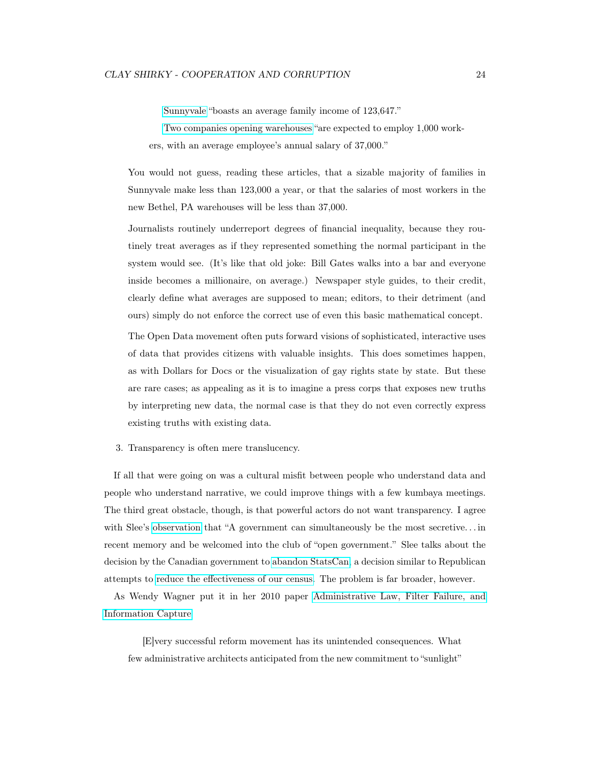[Sunnyvale](http://www.mercurynews.com/bay-area-news/ci_20736434/sunnyvale-top-ten-american-city-raising-kids) "boasts an average family income of 123,647."

[Two companies opening warehouses](http://readingeagle.com/article.aspx?id=386674) "are expected to employ 1,000 workers, with an average employee's annual salary of 37,000."

You would not guess, reading these articles, that a sizable majority of families in Sunnyvale make less than 123,000 a year, or that the salaries of most workers in the new Bethel, PA warehouses will be less than 37,000.

Journalists routinely underreport degrees of financial inequality, because they routinely treat averages as if they represented something the normal participant in the system would see. (It's like that old joke: Bill Gates walks into a bar and everyone inside becomes a millionaire, on average.) Newspaper style guides, to their credit, clearly define what averages are supposed to mean; editors, to their detriment (and ours) simply do not enforce the correct use of even this basic mathematical concept.

The Open Data movement often puts forward visions of sophisticated, interactive uses of data that provides citizens with valuable insights. This does sometimes happen, as with Dollars for Docs or the visualization of gay rights state by state. But these are rare cases; as appealing as it is to imagine a press corps that exposes new truths by interpreting new data, the normal case is that they do not even correctly express existing truths with existing data.

#### 3. Transparency is often mere translucency.

If all that were going on was a cultural misfit between people who understand data and people who understand narrative, we could improve things with a few kumbaya meetings. The third great obstacle, though, is that powerful actors do not want transparency. I agree with Slee's [observation](http://whimsley.typepad.com/whimsley/2012/05/why-the-open-data-movement-is-a-joke.html) that "A government can simultaneously be the most secretive. . . in recent memory and be welcomed into the club of "open government." Slee talks about the decision by the Canadian government to [abandon StatsCan,](http://www.cbc.ca/news/canada/story/2010/07/21/statistics-canada-quits.html) a decision similar to Republican attempts to [reduce the effectiveness of our census.](http://www.nytimes.com/2012/05/20/sunday-review/the-debate-over-the-american-community-survey.html) The problem is far broader, however.

As Wendy Wagner put it in her 2010 paper [Administrative Law, Filter Failure, and](http://scholarship.law.duke.edu/cgi/viewcontent.cgi?article=1463&context=dlj) [Information Capture](http://scholarship.law.duke.edu/cgi/viewcontent.cgi?article=1463&context=dlj)

[E]very successful reform movement has its unintended consequences. What few administrative architects anticipated from the new commitment to "sunlight"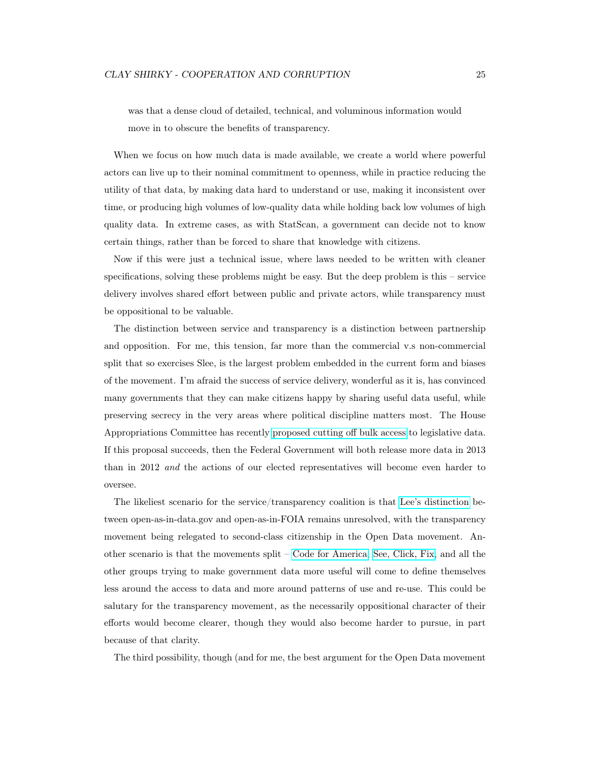was that a dense cloud of detailed, technical, and voluminous information would move in to obscure the benefits of transparency.

When we focus on how much data is made available, we create a world where powerful actors can live up to their nominal commitment to openness, while in practice reducing the utility of that data, by making data hard to understand or use, making it inconsistent over time, or producing high volumes of low-quality data while holding back low volumes of high quality data. In extreme cases, as with StatScan, a government can decide not to know certain things, rather than be forced to share that knowledge with citizens.

Now if this were just a technical issue, where laws needed to be written with cleaner specifications, solving these problems might be easy. But the deep problem is this – service delivery involves shared effort between public and private actors, while transparency must be oppositional to be valuable.

The distinction between service and transparency is a distinction between partnership and opposition. For me, this tension, far more than the commercial v.s non-commercial split that so exercises Slee, is the largest problem embedded in the current form and biases of the movement. I'm afraid the success of service delivery, wonderful as it is, has convinced many governments that they can make citizens happy by sharing useful data useful, while preserving secrecy in the very areas where political discipline matters most. The House Appropriations Committee has recently [proposed cutting off bulk access](http://campaign2012.washingtonexaminer.com/blogs/beltway-confidential/hill-may-freeze-thomas-digital-past/572706) to legislative data. If this proposal succeeds, then the Federal Government will both release more data in 2013 than in 2012 and the actions of our elected representatives will become even harder to oversee.

The likeliest scenario for the service/transparency coalition is that [Lee's distinction](http://sunlightfoundation.com/blog/2012/05/02/defending-the-big-tent-open-data-inclusivity-and-activism/) between open-as-in-data.gov and open-as-in-FOIA remains unresolved, with the transparency movement being relegated to second-class citizenship in the Open Data movement. Another scenario is that the movements split – [Code for America,](http://codeforamerica.org/) [See, Click, Fix,](http://seeclickfix.com/) and all the other groups trying to make government data more useful will come to define themselves less around the access to data and more around patterns of use and re-use. This could be salutary for the transparency movement, as the necessarily oppositional character of their efforts would become clearer, though they would also become harder to pursue, in part because of that clarity.

The third possibility, though (and for me, the best argument for the Open Data movement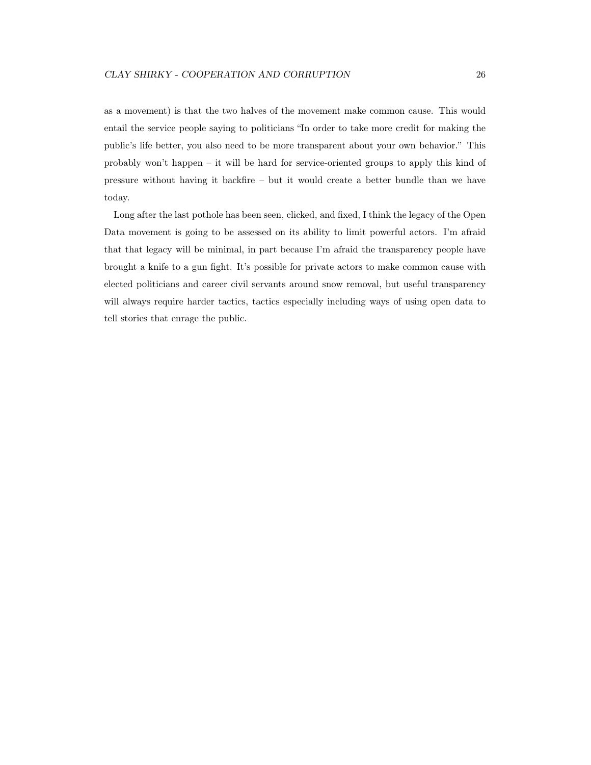as a movement) is that the two halves of the movement make common cause. This would entail the service people saying to politicians "In order to take more credit for making the public's life better, you also need to be more transparent about your own behavior." This probably won't happen – it will be hard for service-oriented groups to apply this kind of pressure without having it backfire – but it would create a better bundle than we have today.

Long after the last pothole has been seen, clicked, and fixed, I think the legacy of the Open Data movement is going to be assessed on its ability to limit powerful actors. I'm afraid that that legacy will be minimal, in part because I'm afraid the transparency people have brought a knife to a gun fight. It's possible for private actors to make common cause with elected politicians and career civil servants around snow removal, but useful transparency will always require harder tactics, tactics especially including ways of using open data to tell stories that enrage the public.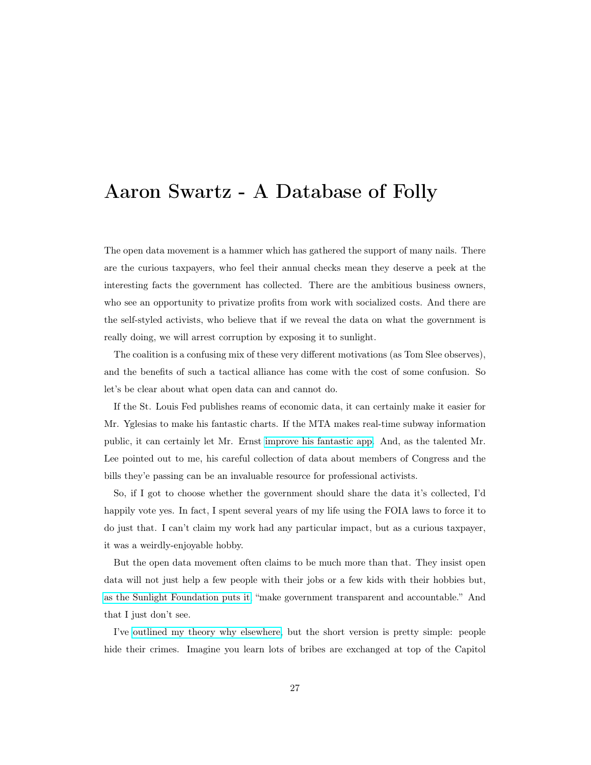### <span id="page-29-0"></span>Aaron Swartz - A Database of Folly

The open data movement is a hammer which has gathered the support of many nails. There are the curious taxpayers, who feel their annual checks mean they deserve a peek at the interesting facts the government has collected. There are the ambitious business owners, who see an opportunity to privatize profits from work with socialized costs. And there are the self-styled activists, who believe that if we reveal the data on what the government is really doing, we will arrest corruption by exposing it to sunlight.

The coalition is a confusing mix of these very different motivations (as Tom Slee observes), and the benefits of such a tactical alliance has come with the cost of some confusion. So let's be clear about what open data can and cannot do.

If the St. Louis Fed publishes reams of economic data, it can certainly make it easier for Mr. Yglesias to make his fantastic charts. If the MTA makes real-time subway information public, it can certainly let Mr. Ernst [improve his fantastic app.](http://itrans.info/) And, as the talented Mr. Lee pointed out to me, his careful collection of data about members of Congress and the bills they'e passing can be an invaluable resource for professional activists.

So, if I got to choose whether the government should share the data it's collected, I'd happily vote yes. In fact, I spent several years of my life using the FOIA laws to force it to do just that. I can't claim my work had any particular impact, but as a curious taxpayer, it was a weirdly-enjoyable hobby.

But the open data movement often claims to be much more than that. They insist open data will not just help a few people with their jobs or a few kids with their hobbies but, [as the Sunlight Foundation puts it,](http://sunlightfoundation.com/about/) "make government transparent and accountable." And that I just don't see.

I've [outlined my theory why elsewhere,](http://www.aaronsw.com/weblog/transparencybunk) but the short version is pretty simple: people hide their crimes. Imagine you learn lots of bribes are exchanged at top of the Capitol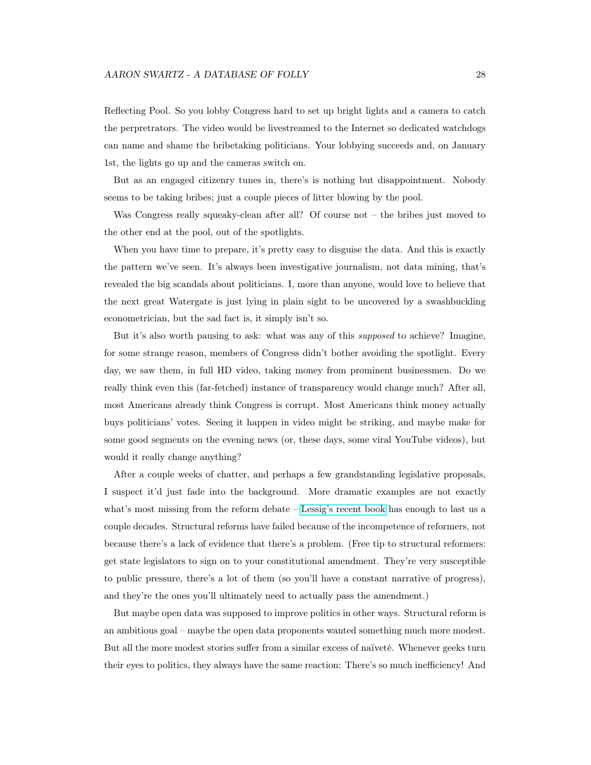Reflecting Pool. So you lobby Congress hard to set up bright lights and a camera to catch the perpretrators. The video would be livestreamed to the Internet so dedicated watchdogs can name and shame the bribetaking politicians. Your lobbying succeeds and, on January 1st, the lights go up and the cameras switch on.

But as an engaged citizenry tunes in, there's is nothing but disappointment. Nobody seems to be taking bribes; just a couple pieces of litter blowing by the pool.

Was Congress really squeaky-clean after all? Of course not – the bribes just moved to the other end at the pool, out of the spotlights.

When you have time to prepare, it's pretty easy to disguise the data. And this is exactly the pattern we've seen. It's always been investigative journalism, not data mining, that's revealed the big scandals about politicians. I, more than anyone, would love to believe that the next great Watergate is just lying in plain sight to be uncovered by a swashbuckling econometrician, but the sad fact is, it simply isn't so.

But it's also worth pausing to ask: what was any of this *supposed* to achieve? Imagine, for some strange reason, members of Congress didn't bother avoiding the spotlight. Every day, we saw them, in full HD video, taking money from prominent businessmen. Do we really think even this (far-fetched) instance of transparency would change much? After all, most Americans already think Congress is corrupt. Most Americans think money actually buys politicians' votes. Seeing it happen in video might be striking, and maybe make for some good segments on the evening news (or, these days, some viral YouTube videos), but would it really change anything?

After a couple weeks of chatter, and perhaps a few grandstanding legislative proposals, I suspect it'd just fade into the background. More dramatic examples are not exactly what's most missing from the reform debate – [Lessig's recent book](http://books.theinfo.org/go/0446576433) has enough to last us a couple decades. Structural reforms have failed because of the incompetence of reformers, not because there's a lack of evidence that there's a problem. (Free tip to structural reformers: get state legislators to sign on to your constitutional amendment. They're very susceptible to public pressure, there's a lot of them (so you'll have a constant narrative of progress), and they're the ones you'll ultimately need to actually pass the amendment.)

But maybe open data was supposed to improve politics in other ways. Structural reform is an ambitious goal – maybe the open data proponents wanted something much more modest. But all the more modest stories suffer from a similar excess of naïveté. Whenever geeks turn their eyes to politics, they always have the same reaction: There's so much inefficiency! And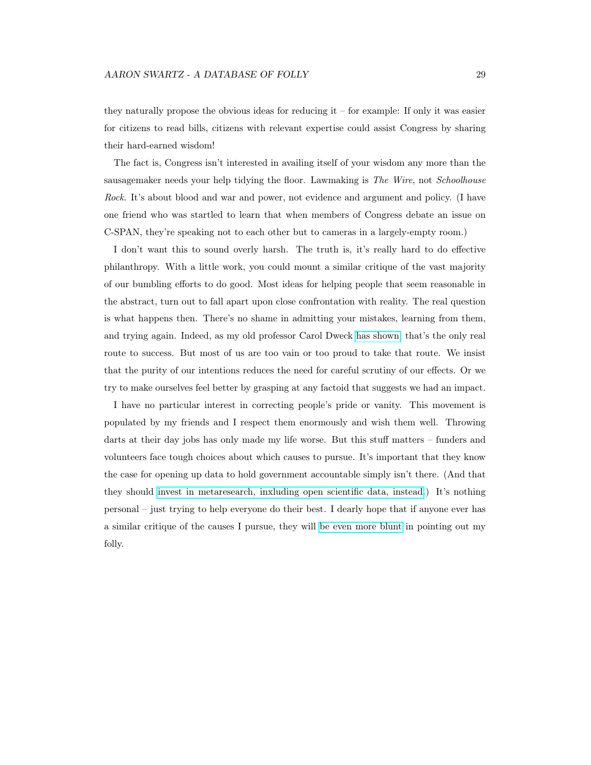they naturally propose the obvious ideas for reducing it – for example: If only it was easier for citizens to read bills, citizens with relevant expertise could assist Congress by sharing their hard-earned wisdom!

The fact is, Congress isn't interested in availing itself of your wisdom any more than the sausagemaker needs your help tidying the floor. Lawmaking is The Wire, not Schoolhouse Rock. It's about blood and war and power, not evidence and argument and policy. (I have one friend who was startled to learn that when members of Congress debate an issue on C-SPAN, they're speaking not to each other but to cameras in a largely-empty room.)

I don't want this to sound overly harsh. The truth is, it's really hard to do effective philanthropy. With a little work, you could mount a similar critique of the vast majority of our bumbling efforts to do good. Most ideas for helping people that seem reasonable in the abstract, turn out to fall apart upon close confrontation with reality. The real question is what happens then. There's no shame in admitting your mistakes, learning from them, and trying again. Indeed, as my old professor Carol Dweck [has shown,](http://books.theinfo.org/go/0345472322) that's the only real route to success. But most of us are too vain or too proud to take that route. We insist that the purity of our intentions reduces the need for careful scrutiny of our effects. Or we try to make ourselves feel better by grasping at any factoid that suggests we had an impact.

I have no particular interest in correcting people's pride or vanity. This movement is populated by my friends and I respect them enormously and wish them well. Throwing darts at their day jobs has only made my life worse. But this stuff matters – funders and volunteers face tough choices about which causes to pursue. It's important that they know the case for opening up data to hold government accountable simply isn't there. (And that they should [invest in metaresearch, inxluding open scientific data, instead.](http://blog.givewell.org/2012/06/11/meta-research/)) It's nothing personal – just trying to help everyone do their best. I dearly hope that if anyone ever has a similar critique of the causes I pursue, they will [be even more blunt](http://blog.givewell.org/2007/06/05/an-open-letter-to-crybabies/) in pointing out my folly.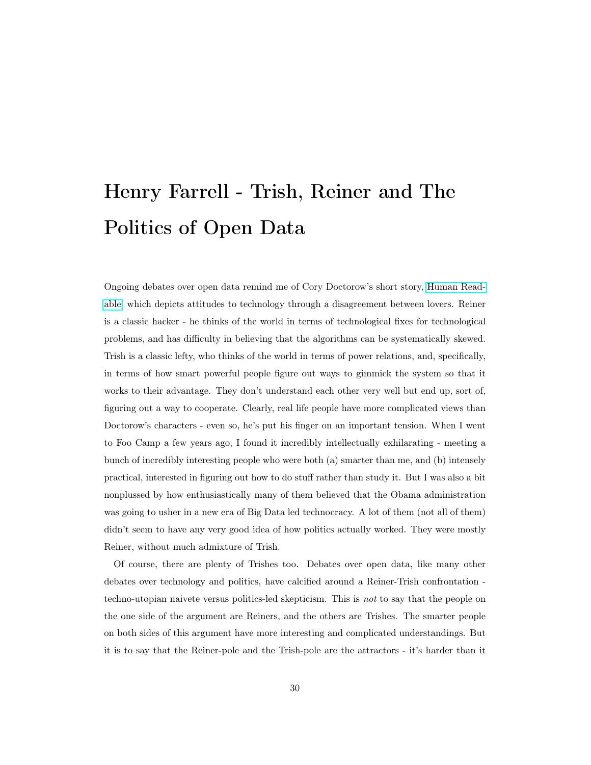## <span id="page-32-0"></span>Henry Farrell - Trish, Reiner and The Politics of Open Data

Ongoing debates over open data remind me of Cory Doctorow's short story, [Human Read](http://craphound.com/?p=3275)[able,](http://craphound.com/?p=3275) which depicts attitudes to technology through a disagreement between lovers. Reiner is a classic hacker - he thinks of the world in terms of technological fixes for technological problems, and has difficulty in believing that the algorithms can be systematically skewed. Trish is a classic lefty, who thinks of the world in terms of power relations, and, specifically, in terms of how smart powerful people figure out ways to gimmick the system so that it works to their advantage. They don't understand each other very well but end up, sort of, figuring out a way to cooperate. Clearly, real life people have more complicated views than Doctorow's characters - even so, he's put his finger on an important tension. When I went to Foo Camp a few years ago, I found it incredibly intellectually exhilarating - meeting a bunch of incredibly interesting people who were both (a) smarter than me, and (b) intensely practical, interested in figuring out how to do stuff rather than study it. But I was also a bit nonplussed by how enthusiastically many of them believed that the Obama administration was going to usher in a new era of Big Data led technocracy. A lot of them (not all of them) didn't seem to have any very good idea of how politics actually worked. They were mostly Reiner, without much admixture of Trish.

Of course, there are plenty of Trishes too. Debates over open data, like many other debates over technology and politics, have calcified around a Reiner-Trish confrontation techno-utopian naivete versus politics-led skepticism. This is not to say that the people on the one side of the argument are Reiners, and the others are Trishes. The smarter people on both sides of this argument have more interesting and complicated understandings. But it is to say that the Reiner-pole and the Trish-pole are the attractors - it's harder than it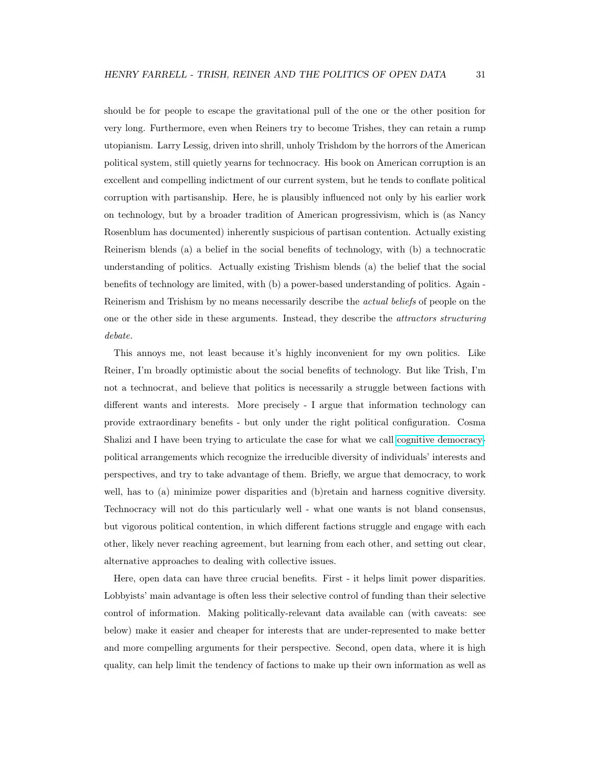should be for people to escape the gravitational pull of the one or the other position for very long. Furthermore, even when Reiners try to become Trishes, they can retain a rump utopianism. Larry Lessig, driven into shrill, unholy Trishdom by the horrors of the American political system, still quietly yearns for technocracy. His book on American corruption is an excellent and compelling indictment of our current system, but he tends to conflate political corruption with partisanship. Here, he is plausibly influenced not only by his earlier work on technology, but by a broader tradition of American progressivism, which is (as Nancy Rosenblum has documented) inherently suspicious of partisan contention. Actually existing Reinerism blends (a) a belief in the social benefits of technology, with (b) a technocratic understanding of politics. Actually existing Trishism blends (a) the belief that the social benefits of technology are limited, with (b) a power-based understanding of politics. Again - Reinerism and Trishism by no means necessarily describe the *actual beliefs* of people on the one or the other side in these arguments. Instead, they describe the *attractors structuring* debate.

This annoys me, not least because it's highly inconvenient for my own politics. Like Reiner, I'm broadly optimistic about the social benefits of technology. But like Trish, I'm not a technocrat, and believe that politics is necessarily a struggle between factions with different wants and interests. More precisely - I argue that information technology can provide extraordinary benefits - but only under the right political configuration. Cosma Shalizi and I have been trying to articulate the case for what we call [cognitive democracy](http://crookedtimber.org/2012/05/23/cognitive-democracy/)political arrangements which recognize the irreducible diversity of individuals' interests and perspectives, and try to take advantage of them. Briefly, we argue that democracy, to work well, has to (a) minimize power disparities and (b) retain and harness cognitive diversity. Technocracy will not do this particularly well - what one wants is not bland consensus, but vigorous political contention, in which different factions struggle and engage with each other, likely never reaching agreement, but learning from each other, and setting out clear, alternative approaches to dealing with collective issues.

Here, open data can have three crucial benefits. First - it helps limit power disparities. Lobbyists' main advantage is often less their selective control of funding than their selective control of information. Making politically-relevant data available can (with caveats: see below) make it easier and cheaper for interests that are under-represented to make better and more compelling arguments for their perspective. Second, open data, where it is high quality, can help limit the tendency of factions to make up their own information as well as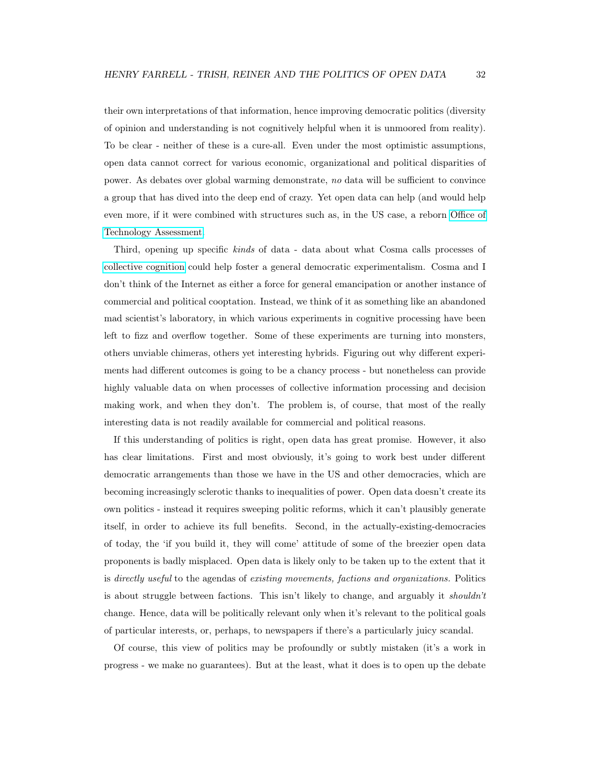their own interpretations of that information, hence improving democratic politics (diversity of opinion and understanding is not cognitively helpful when it is unmoored from reality). To be clear - neither of these is a cure-all. Even under the most optimistic assumptions, open data cannot correct for various economic, organizational and political disparities of power. As debates over global warming demonstrate, no data will be sufficient to convince a group that has dived into the deep end of crazy. Yet open data can help (and would help even more, if it were combined with structures such as, in the US case, a reborn [Office of](http://en.wikipedia.org/wiki/Office_of_Technology_Assessment]) [Technology Assessment.](http://en.wikipedia.org/wiki/Office_of_Technology_Assessment])

Third, opening up specific kinds of data - data about what Cosma calls processes of [collective cognition](http://cscs.umich.edu/~crshalizi/notabene/collective-cognition.html) could help foster a general democratic experimentalism. Cosma and I don't think of the Internet as either a force for general emancipation or another instance of commercial and political cooptation. Instead, we think of it as something like an abandoned mad scientist's laboratory, in which various experiments in cognitive processing have been left to fizz and overflow together. Some of these experiments are turning into monsters, others unviable chimeras, others yet interesting hybrids. Figuring out why different experiments had different outcomes is going to be a chancy process - but nonetheless can provide highly valuable data on when processes of collective information processing and decision making work, and when they don't. The problem is, of course, that most of the really interesting data is not readily available for commercial and political reasons.

If this understanding of politics is right, open data has great promise. However, it also has clear limitations. First and most obviously, it's going to work best under different democratic arrangements than those we have in the US and other democracies, which are becoming increasingly sclerotic thanks to inequalities of power. Open data doesn't create its own politics - instead it requires sweeping politic reforms, which it can't plausibly generate itself, in order to achieve its full benefits. Second, in the actually-existing-democracies of today, the 'if you build it, they will come' attitude of some of the breezier open data proponents is badly misplaced. Open data is likely only to be taken up to the extent that it is directly useful to the agendas of existing movements, factions and organizations. Politics is about struggle between factions. This isn't likely to change, and arguably it shouldn't change. Hence, data will be politically relevant only when it's relevant to the political goals of particular interests, or, perhaps, to newspapers if there's a particularly juicy scandal.

Of course, this view of politics may be profoundly or subtly mistaken (it's a work in progress - we make no guarantees). But at the least, what it does is to open up the debate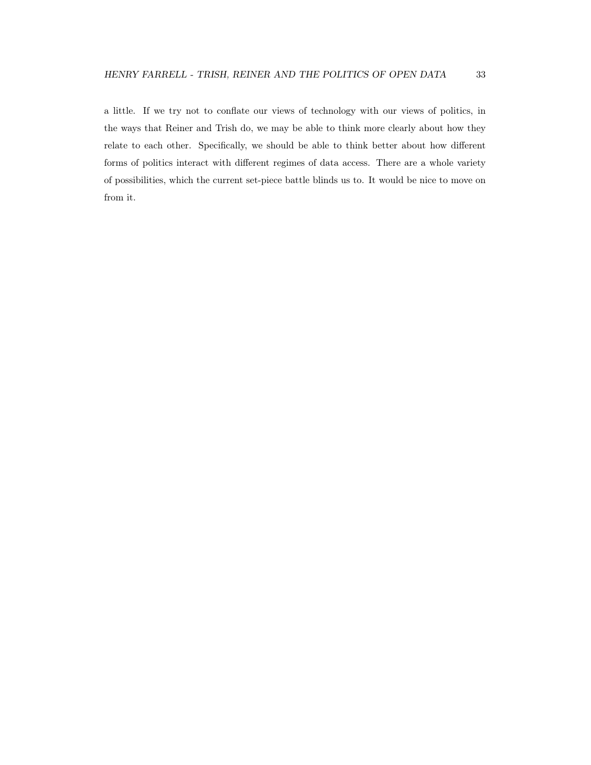a little. If we try not to conflate our views of technology with our views of politics, in the ways that Reiner and Trish do, we may be able to think more clearly about how they relate to each other. Specifically, we should be able to think better about how different forms of politics interact with different regimes of data access. There are a whole variety of possibilities, which the current set-piece battle blinds us to. It would be nice to move on from it.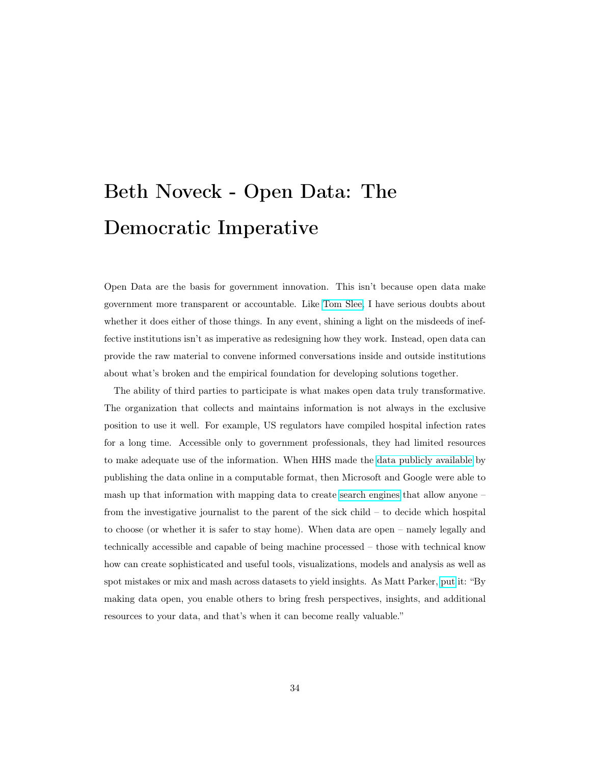## <span id="page-36-0"></span>Beth Noveck - Open Data: The Democratic Imperative

Open Data are the basis for government innovation. This isn't because open data make government more transparent or accountable. Like [Tom Slee,](http://whimsley.typepad.com/whimsley/2012/05/open-data-movement-redux-tribes-and-contradictions.html) I have serious doubts about whether it does either of those things. In any event, shining a light on the misdeeds of ineffective institutions isn't as imperative as redesigning how they work. Instead, open data can provide the raw material to convene informed conversations inside and outside institutions about what's broken and the empirical foundation for developing solutions together.

The ability of third parties to participate is what makes open data truly transformative. The organization that collects and maintains information is not always in the exclusive position to use it well. For example, US regulators have compiled hospital infection rates for a long time. Accessible only to government professionals, they had limited resources to make adequate use of the information. When HHS made the [data publicly available](http://www.health2apps.com/category/datasets/) by publishing the data online in a computable format, then Microsoft and Google were able to mash up that information with mapping data to create [search engines](http://www.hospitalcompare.hhs.gov/hospital-search.aspx?AspxAutoDetectCookieSupport=1) that allow anyone – from the investigative journalist to the parent of the sick child – to decide which hospital to choose (or whether it is safer to stay home). When data are open – namely legally and technically accessible and capable of being machine processed – those with technical know how can create sophisticated and useful tools, visualizations, models and analysis as well as spot mistakes or mix and mash across datasets to yield insights. As Matt Parker, [put](http://www.guardian.co.uk/voluntary-sector-network/2012/may/25/open-data-charities-advice) it: "By making data open, you enable others to bring fresh perspectives, insights, and additional resources to your data, and that's when it can become really valuable."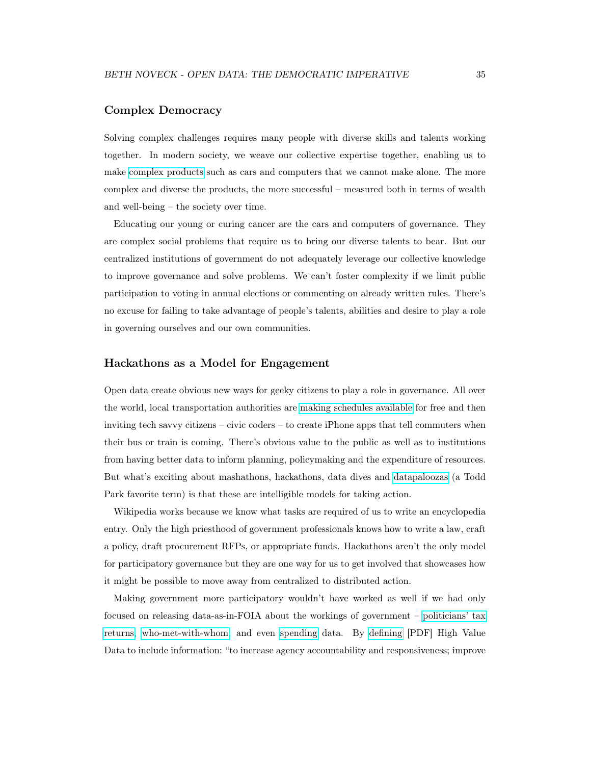#### Complex Democracy

Solving complex challenges requires many people with diverse skills and talents working together. In modern society, we weave our collective expertise together, enabling us to make [complex products](http://atlas.media.mit.edu/) such as cars and computers that we cannot make alone. The more complex and diverse the products, the more successful – measured both in terms of wealth and well-being – the society over time.

Educating our young or curing cancer are the cars and computers of governance. They are complex social problems that require us to bring our diverse talents to bear. But our centralized institutions of government do not adequately leverage our collective knowledge to improve governance and solve problems. We can't foster complexity if we limit public participation to voting in annual elections or commenting on already written rules. There's no excuse for failing to take advantage of people's talents, abilities and desire to play a role in governing ourselves and our own communities.

#### Hackathons as a Model for Engagement

Open data create obvious new ways for geeky citizens to play a role in governance. All over the world, local transportation authorities are [making schedules available](http://www.mbta.com/rider_tools/developers/) for free and then inviting tech savvy citizens – civic coders – to create iPhone apps that tell commuters when their bus or train is coming. There's obvious value to the public as well as to institutions from having better data to inform planning, policymaking and the expenditure of resources. But what's exciting about mashathons, hackathons, data dives and [datapaloozas](http://www.hhs.gov/open/discussion/2nd_annual_health_data_initiative.html) (a Todd Park favorite term) is that these are intelligible models for taking action.

Wikipedia works because we know what tasks are required of us to write an encyclopedia entry. Only the high priesthood of government professionals knows how to write a law, craft a policy, draft procurement RFPs, or appropriate funds. Hackathons aren't the only model for participatory governance but they are one way for us to get involved that showcases how it might be possible to move away from centralized to distributed action.

Making government more participatory wouldn't have worked as well if we had only focused on releasing data-as-in-FOIA about the workings of government – [politicians' tax](http://www.ethics.gov) [returns,](http://www.ethics.gov) [who-met-with-whom,](http://www.whitehouse.gov/briefing-room/disclosures/visitor-records) and even [spending](http://www.usaspending.gov) data. By [defining](http://www.whitehouse.gov/omb/assets/memoranda_2010/m10-06.pdf) [PDF] High Value Data to include information: "to increase agency accountability and responsiveness; improve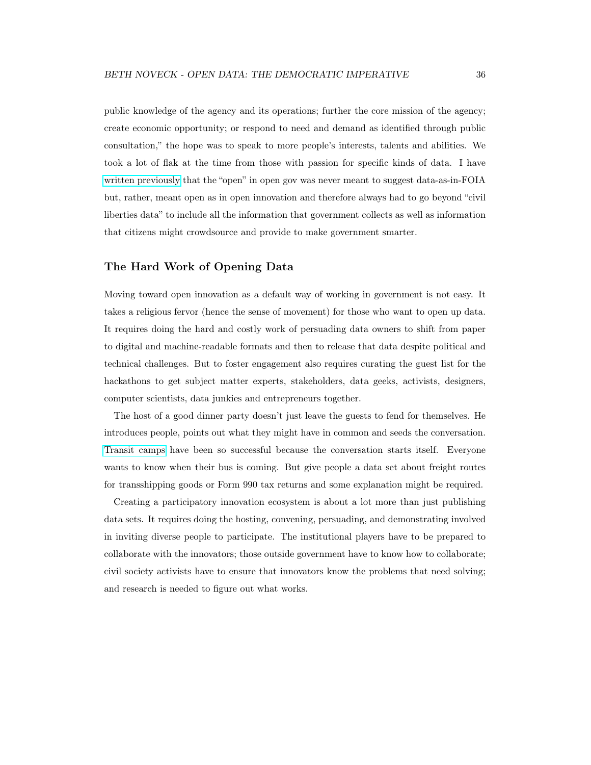public knowledge of the agency and its operations; further the core mission of the agency; create economic opportunity; or respond to need and demand as identified through public consultation," the hope was to speak to more people's interests, talents and abilities. We took a lot of flak at the time from those with passion for specific kinds of data. I have [written previously](http://cairns.typepad.com/blog/2011/04/whats-in-a-name-open-gov-we-gov-gov-20-collaborative-government.html) that the "open" in open gov was never meant to suggest data-as-in-FOIA but, rather, meant open as in open innovation and therefore always had to go beyond "civil liberties data" to include all the information that government collects as well as information that citizens might crowdsource and provide to make government smarter.

### The Hard Work of Opening Data

Moving toward open innovation as a default way of working in government is not easy. It takes a religious fervor (hence the sense of movement) for those who want to open up data. It requires doing the hard and costly work of persuading data owners to shift from paper to digital and machine-readable formats and then to release that data despite political and technical challenges. But to foster engagement also requires curating the guest list for the hackathons to get subject matter experts, stakeholders, data geeks, activists, designers, computer scientists, data junkies and entrepreneurs together.

The host of a good dinner party doesn't just leave the guests to fend for themselves. He introduces people, points out what they might have in common and seeds the conversation. [Transit camps](http://www.transportationcamp.org) have been so successful because the conversation starts itself. Everyone wants to know when their bus is coming. But give people a data set about freight routes for transshipping goods or Form 990 tax returns and some explanation might be required.

Creating a participatory innovation ecosystem is about a lot more than just publishing data sets. It requires doing the hosting, convening, persuading, and demonstrating involved in inviting diverse people to participate. The institutional players have to be prepared to collaborate with the innovators; those outside government have to know how to collaborate; civil society activists have to ensure that innovators know the problems that need solving; and research is needed to figure out what works.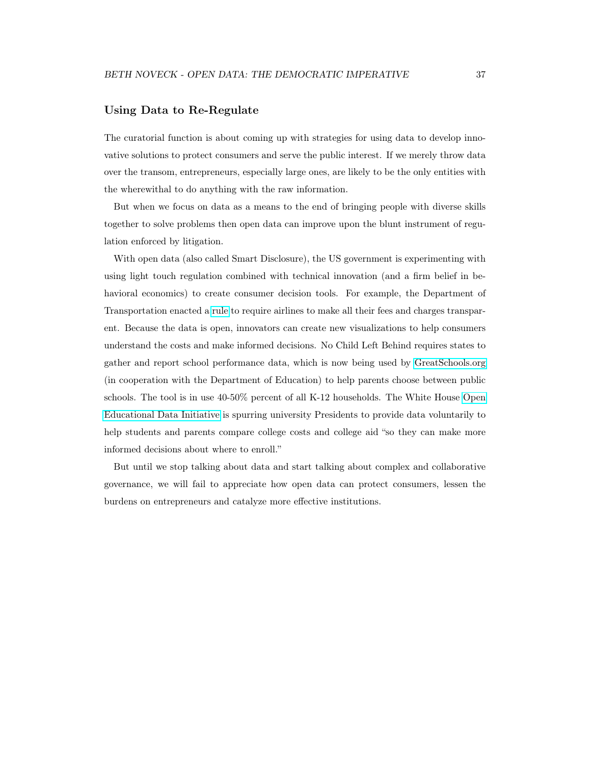### Using Data to Re-Regulate

The curatorial function is about coming up with strategies for using data to develop innovative solutions to protect consumers and serve the public interest. If we merely throw data over the transom, entrepreneurs, especially large ones, are likely to be the only entities with the wherewithal to do anything with the raw information.

But when we focus on data as a means to the end of bringing people with diverse skills together to solve problems then open data can improve upon the blunt instrument of regulation enforced by litigation.

With open data (also called Smart Disclosure), the US government is experimenting with using light touch regulation combined with technical innovation (and a firm belief in behavioral economics) to create consumer decision tools. For example, the Department of Transportation enacted a [rule](http://www.dot.gov/affairs/2012/dot0812.html) to require airlines to make all their fees and charges transparent. Because the data is open, innovators can create new visualizations to help consumers understand the costs and make informed decisions. No Child Left Behind requires states to gather and report school performance data, which is now being used by [GreatSchools.org](http://www.greatschools.org/) (in cooperation with the Department of Education) to help parents choose between public schools. The tool is in use 40-50% percent of all K-12 households. The White House [Open](http://www.whitehouse.gov/blog/2012/01/19/unlocking-power-education-data-all-americans) [Educational Data Initiative](http://www.whitehouse.gov/blog/2012/01/19/unlocking-power-education-data-all-americans) is spurring university Presidents to provide data voluntarily to help students and parents compare college costs and college aid "so they can make more informed decisions about where to enroll."

But until we stop talking about data and start talking about complex and collaborative governance, we will fail to appreciate how open data can protect consumers, lessen the burdens on entrepreneurs and catalyze more effective institutions.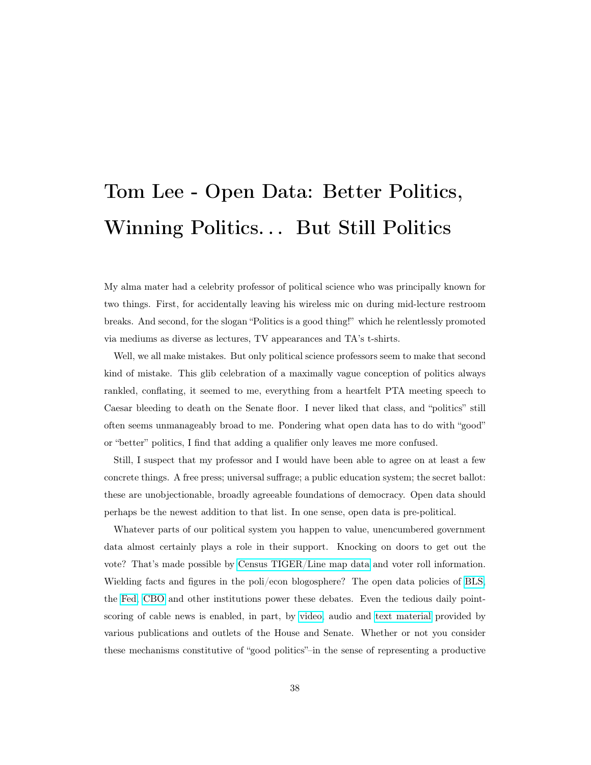## <span id="page-40-0"></span>Tom Lee - Open Data: Better Politics, Winning Politics. . . But Still Politics

My alma mater had a celebrity professor of political science who was principally known for two things. First, for accidentally leaving his wireless mic on during mid-lecture restroom breaks. And second, for the slogan "Politics is a good thing!" which he relentlessly promoted via mediums as diverse as lectures, TV appearances and TA's t-shirts.

Well, we all make mistakes. But only political science professors seem to make that second kind of mistake. This glib celebration of a maximally vague conception of politics always rankled, conflating, it seemed to me, everything from a heartfelt PTA meeting speech to Caesar bleeding to death on the Senate floor. I never liked that class, and "politics" still often seems unmanageably broad to me. Pondering what open data has to do with "good" or "better" politics, I find that adding a qualifier only leaves me more confused.

Still, I suspect that my professor and I would have been able to agree on at least a few concrete things. A free press; universal suffrage; a public education system; the secret ballot: these are unobjectionable, broadly agreeable foundations of democracy. Open data should perhaps be the newest addition to that list. In one sense, open data is pre-political.

Whatever parts of our political system you happen to value, unencumbered government data almost certainly plays a role in their support. Knocking on doors to get out the vote? That's made possible by [Census TIGER/Line map data](http://www.census.gov/geo/www/tiger/) and voter roll information. Wielding facts and figures in the poli/econ blogosphere? The open data policies of [BLS,](http://sunlightfoundation.com/policy/documents/ten-open-data-principles/) the [Fed,](http://research.stlouisfed.org/fred2/) [CBO](http://www.cbo.gov/) and other institutions power these debates. Even the tedious daily pointscoring of cable news is enabled, in part, by [video,](http://houselive.gov/ViewPublisher.php?view_id=14) audio and [text material](http://www.gpo.gov/fdsys/browse/collection.action?collectionCode=CREC) provided by various publications and outlets of the House and Senate. Whether or not you consider these mechanisms constitutive of "good politics"–in the sense of representing a productive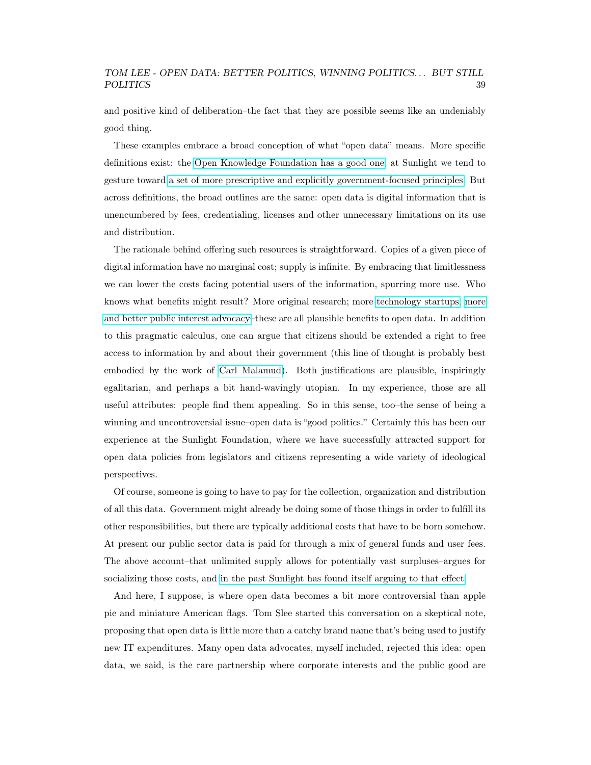and positive kind of deliberation–the fact that they are possible seems like an undeniably good thing.

These examples embrace a broad conception of what "open data" means. More specific definitions exist: the [Open Knowledge Foundation has a good one;](http://opendefinition.org/) at Sunlight we tend to gesture toward [a set of more prescriptive and explicitly government-focused principles.](http://sunlightfoundation.com/policy/documents/ten-open-data-principles/) But across definitions, the broad outlines are the same: open data is digital information that is unencumbered by fees, credentialing, licenses and other unnecessary limitations on its use and distribution.

The rationale behind offering such resources is straightforward. Copies of a given piece of digital information have no marginal cost; supply is infinite. By embracing that limitlessness we can lower the costs facing potential users of the information, spurring more use. Who knows what benefits might result? More original research; more [technology startups;](http://brightscope.com) [more](http://sunlightfoundation.com/blog/2012/05/25/scout-is-already-delivering-results/) [and better public interest advocacy–](http://sunlightfoundation.com/blog/2012/05/25/scout-is-already-delivering-results/)these are all plausible benefits to open data. In addition to this pragmatic calculus, one can argue that citizens should be extended a right to free access to information by and about their government (this line of thought is probably best embodied by the work of [Carl Malamud\)](http://www.libraryjournal.com/lj/communityacademiclibraries/887221-419/public_information_for_all_an.html.csp). Both justifications are plausible, inspiringly egalitarian, and perhaps a bit hand-wavingly utopian. In my experience, those are all useful attributes: people find them appealing. So in this sense, too–the sense of being a winning and uncontroversial issue–open data is "good politics." Certainly this has been our experience at the Sunlight Foundation, where we have successfully attracted support for open data policies from legislators and citizens representing a wide variety of ideological perspectives.

Of course, someone is going to have to pay for the collection, organization and distribution of all this data. Government might already be doing some of those things in order to fulfill its other responsibilities, but there are typically additional costs that have to be born somehow. At present our public sector data is paid for through a mix of general funds and user fees. The above account–that unlimited supply allows for potentially vast surpluses–argues for socializing those costs, and [in the past Sunlight has found itself arguing to that effect.](http://sunlightfoundation.com/savethedata)

And here, I suppose, is where open data becomes a bit more controversial than apple pie and miniature American flags. Tom Slee started this conversation on a skeptical note, proposing that open data is little more than a catchy brand name that's being used to justify new IT expenditures. Many open data advocates, myself included, rejected this idea: open data, we said, is the rare partnership where corporate interests and the public good are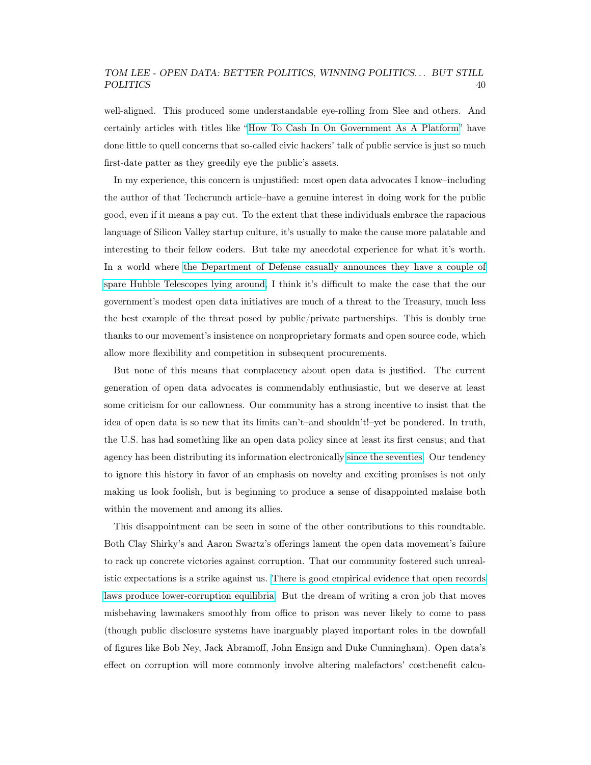well-aligned. This produced some understandable eye-rolling from Slee and others. And certainly articles with titles like ["How To Cash In On Government As A Platform"](http://techcrunch.com/2012/06/02/how-to-cash-in-on-government-as-a-platform/) have done little to quell concerns that so-called civic hackers' talk of public service is just so much first-date patter as they greedily eye the public's assets.

In my experience, this concern is unjustified: most open data advocates I know–including the author of that Techcrunch article–have a genuine interest in doing work for the public good, even if it means a pay cut. To the extent that these individuals embrace the rapacious language of Silicon Valley startup culture, it's usually to make the cause more palatable and interesting to their fellow coders. But take my anecdotal experience for what it's worth. In a world where [the Department of Defense casually announces they have a couple of](http://www.theatlantic.com/technology/archive/2012/06/hey-brother-can-you-spare-a-hubble-dod-sure-have-two/258061/) [spare Hubble Telescopes lying around,](http://www.theatlantic.com/technology/archive/2012/06/hey-brother-can-you-spare-a-hubble-dod-sure-have-two/258061/) I think it's difficult to make the case that the our government's modest open data initiatives are much of a threat to the Treasury, much less the best example of the threat posed by public/private partnerships. This is doubly true thanks to our movement's insistence on nonproprietary formats and open source code, which allow more flexibility and competition in subsequent procurements.

But none of this means that complacency about open data is justified. The current generation of open data advocates is commendably enthusiastic, but we deserve at least some criticism for our callowness. Our community has a strong incentive to insist that the idea of open data is so new that its limits can't–and shouldn't!–yet be pondered. In truth, the U.S. has had something like an open data policy since at least its first census; and that agency has been distributing its information electronically [since the seventies.](http://www.census.gov/history/www/innovations/technology/) Our tendency to ignore this history in favor of an emphasis on novelty and exciting promises is not only making us look foolish, but is beginning to produce a sense of disappointed malaise both within the movement and among its allies.

This disappointment can be seen in some of the other contributions to this roundtable. Both Clay Shirky's and Aaron Swartz's offerings lament the open data movement's failure to rack up concrete victories against corruption. That our community fostered such unrealistic expectations is a strike against us. [There is good empirical evidence that open records](http://papers.ssrn.com/sol3/papers.cfm?abstract_id=1922859) [laws produce lower-corruption equilibria.](http://papers.ssrn.com/sol3/papers.cfm?abstract_id=1922859) But the dream of writing a cron job that moves misbehaving lawmakers smoothly from office to prison was never likely to come to pass (though public disclosure systems have inarguably played important roles in the downfall of figures like Bob Ney, Jack Abramoff, John Ensign and Duke Cunningham). Open data's effect on corruption will more commonly involve altering malefactors' cost:benefit calcu-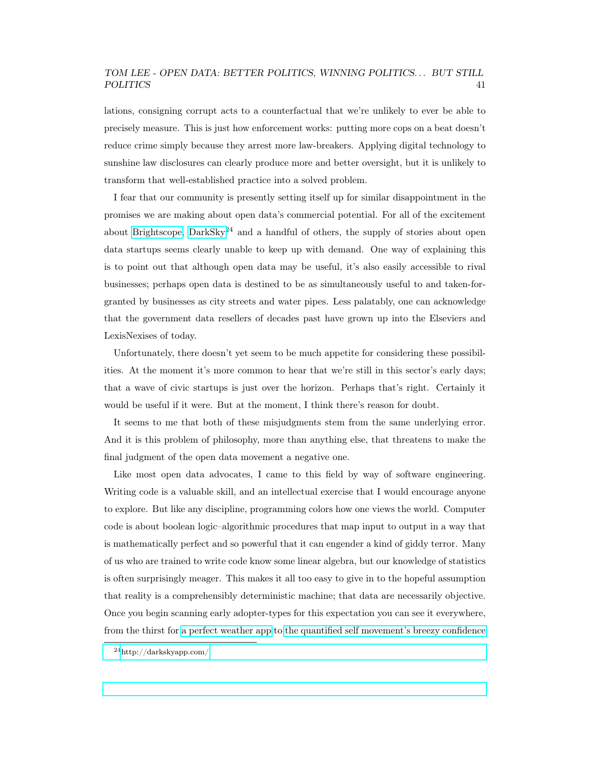lations, consigning corrupt acts to a counterfactual that we're unlikely to ever be able to precisely measure. This is just how enforcement works: putting more cops on a beat doesn't reduce crime simply because they arrest more law-breakers. Applying digital technology to sunshine law disclosures can clearly produce more and better oversight, but it is unlikely to transform that well-established practice into a solved problem.

I fear that our community is presently setting itself up for similar disappointment in the promises we are making about open data's commercial potential. For all of the excitement about [Brightscope,](http://brightscope.com)  $\text{DarkSky}^{24}$  and a handful of others, the supply of stories about open data startups seems clearly unable to keep up with demand. One way of explaining this is to point out that although open data may be useful, it's also easily accessible to rival businesses; perhaps open data is destined to be as simultaneously useful to and taken-forgranted by businesses as city streets and water pipes. Less palatably, one can acknowledge that the government data resellers of decades past have grown up into the Elseviers and LexisNexises of today.

Unfortunately, there doesn't yet seem to be much appetite for considering these possibilities. At the moment it's more common to hear that we're still in this sector's early days; that a wave of civic startups is just over the horizon. Perhaps that's right. Certainly it would be useful if it were. But at the moment, I think there's reason for doubt.

It seems to me that both of these misjudgments stem from the same underlying error. And it is this problem of philosophy, more than anything else, that threatens to make the final judgment of the open data movement a negative one.

Like most open data advocates, I came to this field by way of software engineering. Writing code is a valuable skill, and an intellectual exercise that I would encourage anyone to explore. But like any discipline, programming colors how one views the world. Computer code is about boolean logic–algorithmic procedures that map input to output in a way that is mathematically perfect and so powerful that it can engender a kind of giddy terror. Many of us who are trained to write code know some linear algebra, but our knowledge of statistics is often surprisingly meager. This makes it all too easy to give in to the hopeful assumption that reality is a comprehensibly deterministic machine; that data are necessarily objective. Once you begin scanning early adopter-types for this expectation you can see it everywhere, from the thirst for [a perfect weather app](http://darkskyapp.com/) to [the quantified self movement's breezy confidence](http://www.kevinmd.com/blog/2012/04/quantified-movement-future-american-health.html)

<sup>24</sup>[http://darkskyapp.com/](http://www.kevinmd.com/blog/2012/04/quantified-movement-future-american-health.html)